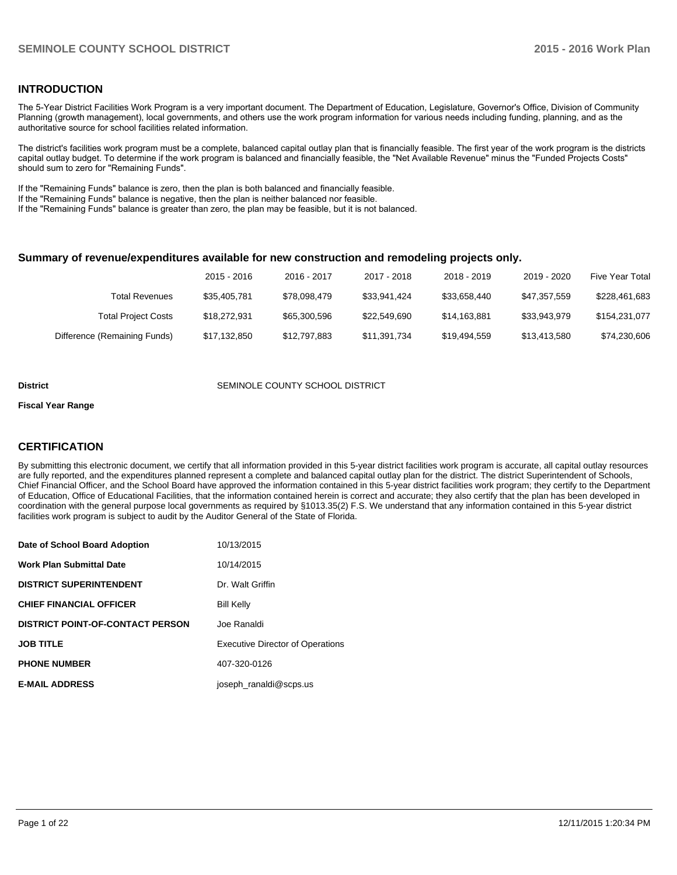### **INTRODUCTION**

The 5-Year District Facilities Work Program is a very important document. The Department of Education, Legislature, Governor's Office, Division of Community Planning (growth management), local governments, and others use the work program information for various needs including funding, planning, and as the authoritative source for school facilities related information.

The district's facilities work program must be a complete, balanced capital outlay plan that is financially feasible. The first year of the work program is the districts capital outlay budget. To determine if the work program is balanced and financially feasible, the "Net Available Revenue" minus the "Funded Projects Costs" should sum to zero for "Remaining Funds".

If the "Remaining Funds" balance is zero, then the plan is both balanced and financially feasible.

If the "Remaining Funds" balance is negative, then the plan is neither balanced nor feasible.

If the "Remaining Funds" balance is greater than zero, the plan may be feasible, but it is not balanced.

#### **Summary of revenue/expenditures available for new construction and remodeling projects only.**

|                              | 2015 - 2016  | 2016 - 2017  | 2017 - 2018  | 2018 - 2019  | 2019 - 2020  | Five Year Total |
|------------------------------|--------------|--------------|--------------|--------------|--------------|-----------------|
| <b>Total Revenues</b>        | \$35.405.781 | \$78,098,479 | \$33.941.424 | \$33.658.440 | \$47.357.559 | \$228,461,683   |
| <b>Total Project Costs</b>   | \$18,272,931 | \$65,300,596 | \$22.549.690 | \$14.163.881 | \$33.943.979 | \$154,231,077   |
| Difference (Remaining Funds) | \$17,132,850 | \$12.797.883 | \$11,391,734 | \$19,494,559 | \$13,413,580 | \$74,230,606    |

#### **District COUNTY SCHOOL DISTRICT** SEMINOLE COUNTY SCHOOL DISTRICT

#### **Fiscal Year Range**

## **CERTIFICATION**

By submitting this electronic document, we certify that all information provided in this 5-year district facilities work program is accurate, all capital outlay resources are fully reported, and the expenditures planned represent a complete and balanced capital outlay plan for the district. The district Superintendent of Schools, Chief Financial Officer, and the School Board have approved the information contained in this 5-year district facilities work program; they certify to the Department of Education, Office of Educational Facilities, that the information contained herein is correct and accurate; they also certify that the plan has been developed in coordination with the general purpose local governments as required by §1013.35(2) F.S. We understand that any information contained in this 5-year district facilities work program is subject to audit by the Auditor General of the State of Florida.

| Date of School Board Adoption           | 10/13/2015                              |
|-----------------------------------------|-----------------------------------------|
| <b>Work Plan Submittal Date</b>         | 10/14/2015                              |
| <b>DISTRICT SUPERINTENDENT</b>          | Dr. Walt Griffin                        |
| <b>CHIEF FINANCIAL OFFICER</b>          | <b>Bill Kelly</b>                       |
| <b>DISTRICT POINT-OF-CONTACT PERSON</b> | Joe Ranaldi                             |
| <b>JOB TITLE</b>                        | <b>Executive Director of Operations</b> |
| <b>PHONE NUMBER</b>                     | 407-320-0126                            |
| <b>E-MAIL ADDRESS</b>                   | joseph_ranaldi@scps.us                  |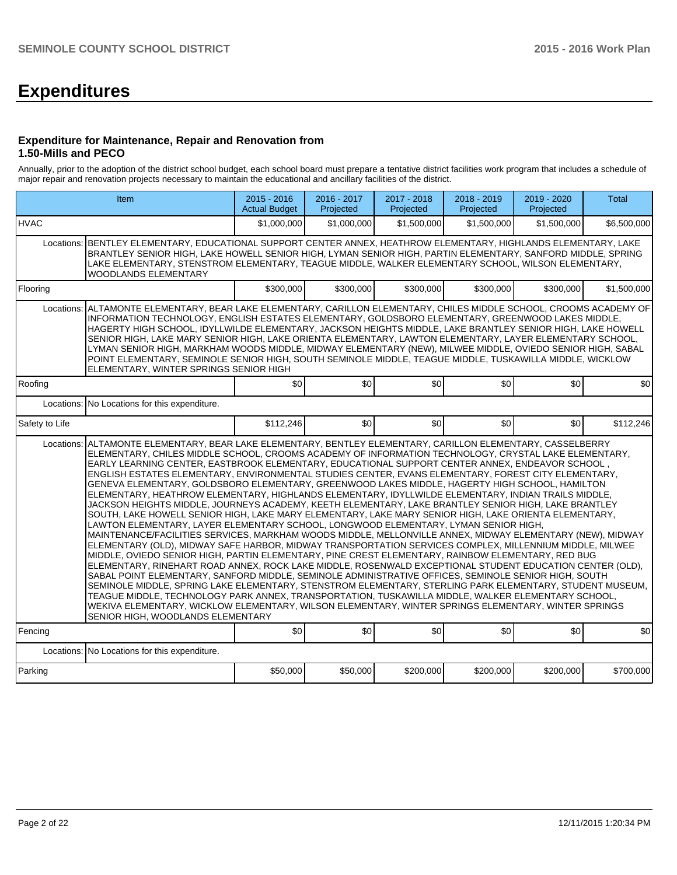# **Expenditures**

#### **Expenditure for Maintenance, Repair and Renovation from 1.50-Mills and PECO**

Annually, prior to the adoption of the district school budget, each school board must prepare a tentative district facilities work program that includes a schedule of major repair and renovation projects necessary to maintain the educational and ancillary facilities of the district.

|                | Item                                                                                                                                                                                                                                                                                                                                                                                                                                                                                                                                                                                                                                                                                                                                                                                                                                                                                                                                                                                                                                                                                                                                                                                                                                                                                                                                                                                                                                                                                                                                                                                                                                                                                                                                                                                                                                                           |             | 2016 - 2017<br>Projected | 2017 - 2018<br>Projected | 2018 - 2019<br>Projected | 2019 - 2020<br>Projected | <b>Total</b> |  |  |  |  |
|----------------|----------------------------------------------------------------------------------------------------------------------------------------------------------------------------------------------------------------------------------------------------------------------------------------------------------------------------------------------------------------------------------------------------------------------------------------------------------------------------------------------------------------------------------------------------------------------------------------------------------------------------------------------------------------------------------------------------------------------------------------------------------------------------------------------------------------------------------------------------------------------------------------------------------------------------------------------------------------------------------------------------------------------------------------------------------------------------------------------------------------------------------------------------------------------------------------------------------------------------------------------------------------------------------------------------------------------------------------------------------------------------------------------------------------------------------------------------------------------------------------------------------------------------------------------------------------------------------------------------------------------------------------------------------------------------------------------------------------------------------------------------------------------------------------------------------------------------------------------------------------|-------------|--------------------------|--------------------------|--------------------------|--------------------------|--------------|--|--|--|--|
| <b>HVAC</b>    |                                                                                                                                                                                                                                                                                                                                                                                                                                                                                                                                                                                                                                                                                                                                                                                                                                                                                                                                                                                                                                                                                                                                                                                                                                                                                                                                                                                                                                                                                                                                                                                                                                                                                                                                                                                                                                                                | \$1,000,000 | \$1,000,000              | \$1,500,000              | \$1,500,000              | \$1,500,000              | \$6,500,000  |  |  |  |  |
|                | Locations: BENTLEY ELEMENTARY, EDUCATIONAL SUPPORT CENTER ANNEX, HEATHROW ELEMENTARY, HIGHLANDS ELEMENTARY, LAKE<br>BRANTLEY SENIOR HIGH, LAKE HOWELL SENIOR HIGH, LYMAN SENIOR HIGH, PARTIN ELEMENTARY, SANFORD MIDDLE, SPRING<br>LAKE ELEMENTARY, STENSTROM ELEMENTARY, TEAGUE MIDDLE, WALKER ELEMENTARY SCHOOL, WILSON ELEMENTARY,<br><b>WOODLANDS ELEMENTARY</b>                                                                                                                                                                                                                                                                                                                                                                                                                                                                                                                                                                                                                                                                                                                                                                                                                                                                                                                                                                                                                                                                                                                                                                                                                                                                                                                                                                                                                                                                                           |             |                          |                          |                          |                          |              |  |  |  |  |
| Flooring       |                                                                                                                                                                                                                                                                                                                                                                                                                                                                                                                                                                                                                                                                                                                                                                                                                                                                                                                                                                                                                                                                                                                                                                                                                                                                                                                                                                                                                                                                                                                                                                                                                                                                                                                                                                                                                                                                | \$300,000   | \$300,000                | \$300,000                | \$300,000                | \$300,000                | \$1,500,000  |  |  |  |  |
|                | Locations: ALTAMONTE ELEMENTARY, BEAR LAKE ELEMENTARY, CARILLON ELEMENTARY, CHILES MIDDLE SCHOOL, CROOMS ACADEMY OF<br>INFORMATION TECHNOLOGY, ENGLISH ESTATES ELEMENTARY, GOLDSBORO ELEMENTARY, GREENWOOD LAKES MIDDLE,<br>HAGERTY HIGH SCHOOL, IDYLLWILDE ELEMENTARY, JACKSON HEIGHTS MIDDLE, LAKE BRANTLEY SENIOR HIGH, LAKE HOWELL<br>SENIOR HIGH, LAKE MARY SENIOR HIGH, LAKE ORIENTA ELEMENTARY, LAWTON ELEMENTARY, LAYER ELEMENTARY SCHOOL,<br>LYMAN SENIOR HIGH, MARKHAM WOODS MIDDLE, MIDWAY ELEMENTARY (NEW), MILWEE MIDDLE, OVIEDO SENIOR HIGH, SABAL<br>POINT ELEMENTARY, SEMINOLE SENIOR HIGH, SOUTH SEMINOLE MIDDLE, TEAGUE MIDDLE, TUSKAWILLA MIDDLE, WICKLOW<br>ELEMENTARY, WINTER SPRINGS SENIOR HIGH                                                                                                                                                                                                                                                                                                                                                                                                                                                                                                                                                                                                                                                                                                                                                                                                                                                                                                                                                                                                                                                                                                                                         |             |                          |                          |                          |                          |              |  |  |  |  |
| Roofing        |                                                                                                                                                                                                                                                                                                                                                                                                                                                                                                                                                                                                                                                                                                                                                                                                                                                                                                                                                                                                                                                                                                                                                                                                                                                                                                                                                                                                                                                                                                                                                                                                                                                                                                                                                                                                                                                                | \$0         | \$0                      | \$0                      | \$0                      | \$0                      | \$0          |  |  |  |  |
| Locations:     | No Locations for this expenditure.                                                                                                                                                                                                                                                                                                                                                                                                                                                                                                                                                                                                                                                                                                                                                                                                                                                                                                                                                                                                                                                                                                                                                                                                                                                                                                                                                                                                                                                                                                                                                                                                                                                                                                                                                                                                                             |             |                          |                          |                          |                          |              |  |  |  |  |
| Safety to Life |                                                                                                                                                                                                                                                                                                                                                                                                                                                                                                                                                                                                                                                                                                                                                                                                                                                                                                                                                                                                                                                                                                                                                                                                                                                                                                                                                                                                                                                                                                                                                                                                                                                                                                                                                                                                                                                                | \$112,246   | \$0                      | $\frac{1}{20}$           | \$0                      | \$0                      | \$112,246    |  |  |  |  |
|                | Locations: ALTAMONTE ELEMENTARY, BEAR LAKE ELEMENTARY, BENTLEY ELEMENTARY, CARILLON ELEMENTARY, CASSELBERRY<br>ELEMENTARY. CHILES MIDDLE SCHOOL. CROOMS ACADEMY OF INFORMATION TECHNOLOGY. CRYSTAL LAKE ELEMENTARY.<br>, EARLY LEARNING CENTER, EASTBROOK ELEMENTARY, EDUCATIONAL SUPPORT CENTER ANNEX, ENDEAVOR SCHOOL<br>ENGLISH ESTATES ELEMENTARY, ENVIRONMENTAL STUDIES CENTER, EVANS ELEMENTARY, FOREST CITY ELEMENTARY,<br>GENEVA ELEMENTARY, GOLDSBORO ELEMENTARY, GREENWOOD LAKES MIDDLE, HAGERTY HIGH SCHOOL, HAMILTON<br>ELEMENTARY, HEATHROW ELEMENTARY, HIGHLANDS ELEMENTARY, IDYLLWILDE ELEMENTARY, INDIAN TRAILS MIDDLE,<br>JACKSON HEIGHTS MIDDLE, JOURNEYS ACADEMY, KEETH ELEMENTARY, LAKE BRANTLEY SENIOR HIGH, LAKE BRANTLEY<br>SOUTH. LAKE HOWELL SENIOR HIGH. LAKE MARY ELEMENTARY. LAKE MARY SENIOR HIGH. LAKE ORIENTA ELEMENTARY.<br>LAWTON ELEMENTARY, LAYER ELEMENTARY SCHOOL, LONGWOOD ELEMENTARY, LYMAN SENIOR HIGH,<br>MAINTENANCE/FACILITIES SERVICES, MARKHAM WOODS MIDDLE, MELLONVILLE ANNEX, MIDWAY ELEMENTARY (NEW), MIDWAY<br>ELEMENTARY (OLD), MIDWAY SAFE HARBOR, MIDWAY TRANSPORTATION SERVICES COMPLEX, MILLENNIUM MIDDLE, MILWEE<br>MIDDLE, OVIEDO SENIOR HIGH, PARTIN ELEMENTARY, PINE CREST ELEMENTARY, RAINBOW ELEMENTARY, RED BUG<br>ELEMENTARY, RINEHART ROAD ANNEX, ROCK LAKE MIDDLE, ROSENWALD EXCEPTIONAL STUDENT EDUCATION CENTER (OLD),<br>SABAL POINT ELEMENTARY, SANFORD MIDDLE, SEMINOLE ADMINISTRATIVE OFFICES, SEMINOLE SENIOR HIGH, SOUTH<br>SEMINOLE MIDDLE, SPRING LAKE ELEMENTARY, STENSTROM ELEMENTARY, STERLING PARK ELEMENTARY, STUDENT MUSEUM,<br>TEAGUE MIDDLE, TECHNOLOGY PARK ANNEX, TRANSPORTATION, TUSKAWILLA MIDDLE, WALKER ELEMENTARY SCHOOL,<br>WEKIVA ELEMENTARY, WICKLOW ELEMENTARY, WILSON ELEMENTARY, WINTER SPRINGS ELEMENTARY, WINTER SPRINGS<br>SENIOR HIGH, WOODLANDS ELEMENTARY |             |                          |                          |                          |                          |              |  |  |  |  |
| Fencing        |                                                                                                                                                                                                                                                                                                                                                                                                                                                                                                                                                                                                                                                                                                                                                                                                                                                                                                                                                                                                                                                                                                                                                                                                                                                                                                                                                                                                                                                                                                                                                                                                                                                                                                                                                                                                                                                                | \$0         | \$0                      | \$0                      | \$0                      | \$0                      | \$0          |  |  |  |  |
| Locations:     | No Locations for this expenditure.                                                                                                                                                                                                                                                                                                                                                                                                                                                                                                                                                                                                                                                                                                                                                                                                                                                                                                                                                                                                                                                                                                                                                                                                                                                                                                                                                                                                                                                                                                                                                                                                                                                                                                                                                                                                                             |             |                          |                          |                          |                          |              |  |  |  |  |
| Parking        |                                                                                                                                                                                                                                                                                                                                                                                                                                                                                                                                                                                                                                                                                                                                                                                                                                                                                                                                                                                                                                                                                                                                                                                                                                                                                                                                                                                                                                                                                                                                                                                                                                                                                                                                                                                                                                                                | \$50,000    | \$50,000                 | \$200,000                | \$200,000                | \$200,000                | \$700,000    |  |  |  |  |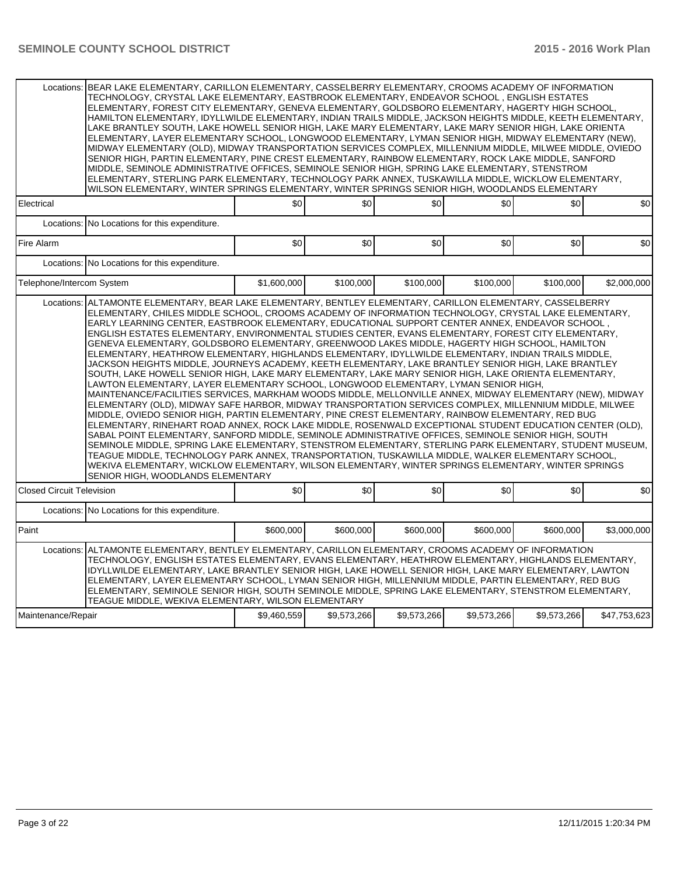|                                  | Locations: BEAR LAKE ELEMENTARY, CARILLON ELEMENTARY, CASSELBERRY ELEMENTARY, CROOMS ACADEMY OF INFORMATION<br>TECHNOLOGY, CRYSTAL LAKE ELEMENTARY, EASTBROOK ELEMENTARY, ENDEAVOR SCHOOL, ENGLISH ESTATES<br>ELEMENTARY, FOREST CITY ELEMENTARY, GENEVA ELEMENTARY, GOLDSBORO ELEMENTARY, HAGERTY HIGH SCHOOL,                                                                                                                                                                                                                                                                                                                                                                                                                                                                                                                                                                                                                                                                                                                                                                                                                                                                                                                                                                                                                                                                                                                                                                                                                                                                                                                                                                                                                                                                                                                                               |             |             |             |             |             |              |
|----------------------------------|---------------------------------------------------------------------------------------------------------------------------------------------------------------------------------------------------------------------------------------------------------------------------------------------------------------------------------------------------------------------------------------------------------------------------------------------------------------------------------------------------------------------------------------------------------------------------------------------------------------------------------------------------------------------------------------------------------------------------------------------------------------------------------------------------------------------------------------------------------------------------------------------------------------------------------------------------------------------------------------------------------------------------------------------------------------------------------------------------------------------------------------------------------------------------------------------------------------------------------------------------------------------------------------------------------------------------------------------------------------------------------------------------------------------------------------------------------------------------------------------------------------------------------------------------------------------------------------------------------------------------------------------------------------------------------------------------------------------------------------------------------------------------------------------------------------------------------------------------------------|-------------|-------------|-------------|-------------|-------------|--------------|
|                                  | HAMILTON ELEMENTARY, IDYLLWILDE ELEMENTARY, INDIAN TRAILS MIDDLE, JACKSON HEIGHTS MIDDLE, KEETH ELEMENTARY,<br>LAKE BRANTLEY SOUTH, LAKE HOWELL SENIOR HIGH, LAKE MARY ELEMENTARY, LAKE MARY SENIOR HIGH, LAKE ORIENTA<br>ELEMENTARY, LAYER ELEMENTARY SCHOOL, LONGWOOD ELEMENTARY, LYMAN SENIOR HIGH, MIDWAY ELEMENTARY (NEW),<br>MIDWAY ELEMENTARY (OLD), MIDWAY TRANSPORTATION SERVICES COMPLEX, MILLENNIUM MIDDLE, MILWEE MIDDLE, OVIEDO<br>SENIOR HIGH, PARTIN ELEMENTARY, PINE CREST ELEMENTARY, RAINBOW ELEMENTARY, ROCK LAKE MIDDLE, SANFORD<br>MIDDLE, SEMINOLE ADMINISTRATIVE OFFICES, SEMINOLE SENIOR HIGH, SPRING LAKE ELEMENTARY, STENSTROM<br>ELEMENTARY, STERLING PARK ELEMENTARY, TECHNOLOGY PARK ANNEX, TUSKAWILLA MIDDLE, WICKLOW ELEMENTARY,<br>WILSON ELEMENTARY, WINTER SPRINGS ELEMENTARY, WINTER SPRINGS SENIOR HIGH, WOODLANDS ELEMENTARY                                                                                                                                                                                                                                                                                                                                                                                                                                                                                                                                                                                                                                                                                                                                                                                                                                                                                                                                                                                             |             |             |             |             |             |              |
| Electrical                       |                                                                                                                                                                                                                                                                                                                                                                                                                                                                                                                                                                                                                                                                                                                                                                                                                                                                                                                                                                                                                                                                                                                                                                                                                                                                                                                                                                                                                                                                                                                                                                                                                                                                                                                                                                                                                                                               | \$0         | \$0         | \$0         | \$0         | \$0         | \$0          |
|                                  | Locations: No Locations for this expenditure.                                                                                                                                                                                                                                                                                                                                                                                                                                                                                                                                                                                                                                                                                                                                                                                                                                                                                                                                                                                                                                                                                                                                                                                                                                                                                                                                                                                                                                                                                                                                                                                                                                                                                                                                                                                                                 |             |             |             |             |             |              |
| Fire Alarm                       |                                                                                                                                                                                                                                                                                                                                                                                                                                                                                                                                                                                                                                                                                                                                                                                                                                                                                                                                                                                                                                                                                                                                                                                                                                                                                                                                                                                                                                                                                                                                                                                                                                                                                                                                                                                                                                                               | \$0         | \$0         | \$0         | \$0         | \$0         | \$0          |
|                                  | Locations: No Locations for this expenditure.                                                                                                                                                                                                                                                                                                                                                                                                                                                                                                                                                                                                                                                                                                                                                                                                                                                                                                                                                                                                                                                                                                                                                                                                                                                                                                                                                                                                                                                                                                                                                                                                                                                                                                                                                                                                                 |             |             |             |             |             |              |
| Telephone/Intercom System        |                                                                                                                                                                                                                                                                                                                                                                                                                                                                                                                                                                                                                                                                                                                                                                                                                                                                                                                                                                                                                                                                                                                                                                                                                                                                                                                                                                                                                                                                                                                                                                                                                                                                                                                                                                                                                                                               | \$1,600,000 | \$100,000   | \$100,000   | \$100,000   | \$100,000   | \$2,000,000  |
|                                  | Locations: ALTAMONTE ELEMENTARY, BEAR LAKE ELEMENTARY, BENTLEY ELEMENTARY, CARILLON ELEMENTARY, CASSELBERRY<br>ELEMENTARY, CHILES MIDDLE SCHOOL, CROOMS ACADEMY OF INFORMATION TECHNOLOGY, CRYSTAL LAKE ELEMENTARY,<br>EARLY LEARNING CENTER, EASTBROOK ELEMENTARY, EDUCATIONAL SUPPORT CENTER ANNEX, ENDEAVOR SCHOOL,<br>ENGLISH ESTATES ELEMENTARY, ENVIRONMENTAL STUDIES CENTER, EVANS ELEMENTARY, FOREST CITY ELEMENTARY,<br>GENEVA ELEMENTARY, GOLDSBORO ELEMENTARY, GREENWOOD LAKES MIDDLE, HAGERTY HIGH SCHOOL, HAMILTON<br>ELEMENTARY, HEATHROW ELEMENTARY, HIGHLANDS ELEMENTARY, IDYLLWILDE ELEMENTARY, INDIAN TRAILS MIDDLE,<br>JACKSON HEIGHTS MIDDLE, JOURNEYS ACADEMY, KEETH ELEMENTARY, LAKE BRANTLEY SENIOR HIGH, LAKE BRANTLEY<br>SOUTH, LAKE HOWELL SENIOR HIGH, LAKE MARY ELEMENTARY, LAKE MARY SENIOR HIGH, LAKE ORIENTA ELEMENTARY,<br>LAWTON ELEMENTARY, LAYER ELEMENTARY SCHOOL, LONGWOOD ELEMENTARY, LYMAN SENIOR HIGH,<br>MAINTENANCE/FACILITIES SERVICES, MARKHAM WOODS MIDDLE, MELLONVILLE ANNEX, MIDWAY ELEMENTARY (NEW), MIDWAY<br>ELEMENTARY (OLD), MIDWAY SAFE HARBOR, MIDWAY TRANSPORTATION SERVICES COMPLEX, MILLENNIUM MIDDLE, MILWEE<br>MIDDLE, OVIEDO SENIOR HIGH, PARTIN ELEMENTARY, PINE CREST ELEMENTARY, RAINBOW ELEMENTARY, RED BUG<br>ELEMENTARY, RINEHART ROAD ANNEX, ROCK LAKE MIDDLE, ROSENWALD EXCEPTIONAL STUDENT EDUCATION CENTER (OLD),<br>SABAL POINT ELEMENTARY, SANFORD MIDDLE, SEMINOLE ADMINISTRATIVE OFFICES, SEMINOLE SENIOR HIGH, SOUTH<br>SEMINOLE MIDDLE, SPRING LAKE ELEMENTARY, STENSTROM ELEMENTARY, STERLING PARK ELEMENTARY, STUDENT MUSEUM,<br>TEAGUE MIDDLE, TECHNOLOGY PARK ANNEX, TRANSPORTATION, TUSKAWILLA MIDDLE, WALKER ELEMENTARY SCHOOL,<br>WEKIVA ELEMENTARY, WICKLOW ELEMENTARY, WILSON ELEMENTARY, WINTER SPRINGS ELEMENTARY, WINTER SPRINGS<br>SENIOR HIGH, WOODLANDS ELEMENTARY |             |             |             |             |             |              |
| <b>Closed Circuit Television</b> |                                                                                                                                                                                                                                                                                                                                                                                                                                                                                                                                                                                                                                                                                                                                                                                                                                                                                                                                                                                                                                                                                                                                                                                                                                                                                                                                                                                                                                                                                                                                                                                                                                                                                                                                                                                                                                                               | \$0         | \$0         | \$0         | \$0         | \$0         | \$0          |
|                                  | Locations: No Locations for this expenditure.                                                                                                                                                                                                                                                                                                                                                                                                                                                                                                                                                                                                                                                                                                                                                                                                                                                                                                                                                                                                                                                                                                                                                                                                                                                                                                                                                                                                                                                                                                                                                                                                                                                                                                                                                                                                                 |             |             |             |             |             |              |
| Paint                            |                                                                                                                                                                                                                                                                                                                                                                                                                                                                                                                                                                                                                                                                                                                                                                                                                                                                                                                                                                                                                                                                                                                                                                                                                                                                                                                                                                                                                                                                                                                                                                                                                                                                                                                                                                                                                                                               | \$600,000   | \$600,000   | \$600,000   | \$600,000   | \$600,000   | \$3,000,000  |
|                                  | Locations: ALTAMONTE ELEMENTARY, BENTLEY ELEMENTARY, CARILLON ELEMENTARY, CROOMS ACADEMY OF INFORMATION<br>TECHNOLOGY, ENGLISH ESTATES ELEMENTARY, EVANS ELEMENTARY, HEATHROW ELEMENTARY, HIGHLANDS ELEMENTARY,<br>IDYLLWILDE ELEMENTARY, LAKE BRANTLEY SENIOR HIGH, LAKE HOWELL SENIOR HIGH, LAKE MARY ELEMENTARY, LAWTON<br>ELEMENTARY, LAYER ELEMENTARY SCHOOL, LYMAN SENIOR HIGH, MILLENNIUM MIDDLE, PARTIN ELEMENTARY, RED BUG<br>ELEMENTARY, SEMINOLE SENIOR HIGH, SOUTH SEMINOLE MIDDLE, SPRING LAKE ELEMENTARY, STENSTROM ELEMENTARY,<br>TEAGUE MIDDLE, WEKIVA ELEMENTARY, WILSON ELEMENTARY                                                                                                                                                                                                                                                                                                                                                                                                                                                                                                                                                                                                                                                                                                                                                                                                                                                                                                                                                                                                                                                                                                                                                                                                                                                          |             |             |             |             |             |              |
| Maintenance/Repair               |                                                                                                                                                                                                                                                                                                                                                                                                                                                                                                                                                                                                                                                                                                                                                                                                                                                                                                                                                                                                                                                                                                                                                                                                                                                                                                                                                                                                                                                                                                                                                                                                                                                                                                                                                                                                                                                               | \$9,460,559 | \$9,573,266 | \$9,573,266 | \$9,573,266 | \$9,573,266 | \$47,753,623 |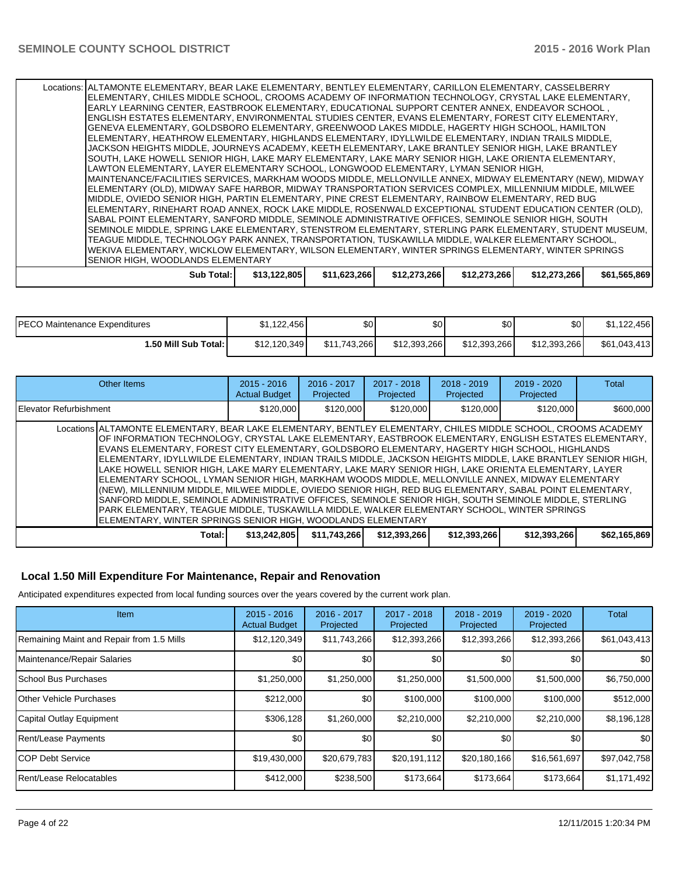| Locations: ALTAMONTE ELEMENTARY, BEAR LAKE ELEMENTARY, BENTLEY ELEMENTARY, CARILLON ELEMENTARY, CASSELBERRY<br>ELEMENTARY, CHILES MIDDLE SCHOOL, CROOMS ACADEMY OF INFORMATION TECHNOLOGY, CRYSTAL LAKE ELEMENTARY,<br>, EARLY LEARNING CENTER, EASTBROOK ELEMENTARY, EDUCATIONAL SUPPORT CENTER ANNEX, ENDEAVOR SCHOOL<br>ENGLISH ESTATES ELEMENTARY, ENVIRONMENTAL STUDIES CENTER, EVANS ELEMENTARY, FOREST CITY ELEMENTARY,<br>GENEVA ELEMENTARY, GOLDSBORO ELEMENTARY, GREENWOOD LAKES MIDDLE, HAGERTY HIGH SCHOOL, HAMILTON<br>ELEMENTARY, HEATHROW ELEMENTARY, HIGHLANDS ELEMENTARY, IDYLLWILDE ELEMENTARY, INDIAN TRAILS MIDDLE,<br>JACKSON HEIGHTS MIDDLE, JOURNEYS ACADEMY, KEETH ELEMENTARY, LAKE BRANTLEY SENIOR HIGH, LAKE BRANTLEY<br>SOUTH, LAKE HOWELL SENIOR HIGH, LAKE MARY ELEMENTARY, LAKE MARY SENIOR HIGH, LAKE ORIENTA ELEMENTARY,<br>LAWTON ELEMENTARY, LAYER ELEMENTARY SCHOOL, LONGWOOD ELEMENTARY, LYMAN SENIOR HIGH, |              |              |              |              |              |              |  |  |
|-------------------------------------------------------------------------------------------------------------------------------------------------------------------------------------------------------------------------------------------------------------------------------------------------------------------------------------------------------------------------------------------------------------------------------------------------------------------------------------------------------------------------------------------------------------------------------------------------------------------------------------------------------------------------------------------------------------------------------------------------------------------------------------------------------------------------------------------------------------------------------------------------------------------------------------------------|--------------|--------------|--------------|--------------|--------------|--------------|--|--|
| MAINTENANCE/FACILITIES SERVICES, MARKHAM WOODS MIDDLE, MELLONVILLE ANNEX, MIDWAY ELEMENTARY (NEW), MIDWAY                                                                                                                                                                                                                                                                                                                                                                                                                                                                                                                                                                                                                                                                                                                                                                                                                                       |              |              |              |              |              |              |  |  |
| ELEMENTARY (OLD), MIDWAY SAFE HARBOR, MIDWAY TRANSPORTATION SERVICES COMPLEX, MILLENNIUM MIDDLE, MILWEE<br>MIDDLE, OVIEDO SENIOR HIGH, PARTIN ELEMENTARY, PINE CREST ELEMENTARY, RAINBOW ELEMENTARY, RED BUG                                                                                                                                                                                                                                                                                                                                                                                                                                                                                                                                                                                                                                                                                                                                    |              |              |              |              |              |              |  |  |
| ELEMENTARY, RINEHART ROAD ANNEX, ROCK LAKE MIDDLE, ROSENWALD EXCEPTIONAL STUDENT EDUCATION CENTER (OLD),                                                                                                                                                                                                                                                                                                                                                                                                                                                                                                                                                                                                                                                                                                                                                                                                                                        |              |              |              |              |              |              |  |  |
| SABAL POINT ELEMENTARY, SANFORD MIDDLE, SEMINOLE ADMINISTRATIVE OFFICES, SEMINOLE SENIOR HIGH, SOUTH                                                                                                                                                                                                                                                                                                                                                                                                                                                                                                                                                                                                                                                                                                                                                                                                                                            |              |              |              |              |              |              |  |  |
| SEMINOLE MIDDLE, SPRING LAKE ELEMENTARY, STENSTROM ELEMENTARY, STERLING PARK ELEMENTARY, STUDENT MUSEUM,                                                                                                                                                                                                                                                                                                                                                                                                                                                                                                                                                                                                                                                                                                                                                                                                                                        |              |              |              |              |              |              |  |  |
| TEAGUE MIDDLE, TECHNOLOGY PARK ANNEX, TRANSPORTATION, TUSKAWILLA MIDDLE, WALKER ELEMENTARY SCHOOL,<br>WEKIVA ELEMENTARY, WICKLOW ELEMENTARY, WILSON ELEMENTARY, WINTER SPRINGS ELEMENTARY, WINTER SPRINGS                                                                                                                                                                                                                                                                                                                                                                                                                                                                                                                                                                                                                                                                                                                                       |              |              |              |              |              |              |  |  |
| SENIOR HIGH, WOODLANDS ELEMENTARY                                                                                                                                                                                                                                                                                                                                                                                                                                                                                                                                                                                                                                                                                                                                                                                                                                                                                                               |              |              |              |              |              |              |  |  |
| <b>Sub Total:</b>                                                                                                                                                                                                                                                                                                                                                                                                                                                                                                                                                                                                                                                                                                                                                                                                                                                                                                                               | \$13,122,805 | \$11,623,266 | \$12,273,266 | \$12,273,266 | \$12,273,266 | \$61,565,869 |  |  |

| <b>PECO Maintenance Expenditures</b> | \$1,122,456  | \$0 <sub>1</sub> | ¢∩<br>ּי שט  | \$0          | \$0          | .122.456<br>\$1 |
|--------------------------------------|--------------|------------------|--------------|--------------|--------------|-----------------|
| <b>⊥.50 Mill Sub Total: I</b>        | \$12,120,349 | \$11.743.266     | \$12,393,266 | \$12,393,266 | \$12,393,266 | \$61,043,413    |

| Other Items                                                                                                                                                                                                                                                                                                                                                                                                                                                                                                                                                                                                                                                                                                                                                                                                                                                                                                                                                                                                                               | $2015 - 2016$<br><b>Actual Budget</b> | $2016 - 2017$<br>Projected | $2017 - 2018$<br>Projected | $2018 - 2019$<br>Projected | $2019 - 2020$<br>Projected | Total        |
|-------------------------------------------------------------------------------------------------------------------------------------------------------------------------------------------------------------------------------------------------------------------------------------------------------------------------------------------------------------------------------------------------------------------------------------------------------------------------------------------------------------------------------------------------------------------------------------------------------------------------------------------------------------------------------------------------------------------------------------------------------------------------------------------------------------------------------------------------------------------------------------------------------------------------------------------------------------------------------------------------------------------------------------------|---------------------------------------|----------------------------|----------------------------|----------------------------|----------------------------|--------------|
| Elevator Refurbishment                                                                                                                                                                                                                                                                                                                                                                                                                                                                                                                                                                                                                                                                                                                                                                                                                                                                                                                                                                                                                    | \$120,000                             | \$120,000                  | \$120,000                  | \$120,000                  | \$120,000                  | \$600,000    |
| Locations ALTAMONTE ELEMENTARY, BEAR LAKE ELEMENTARY, BENTLEY ELEMENTARY, CHILES MIDDLE SCHOOL, CROOMS ACADEMY<br>OF INFORMATION TECHNOLOGY, CRYSTAL LAKE ELEMENTARY, EASTBROOK ELEMENTARY, ENGLISH ESTATES ELEMENTARY,<br>EVANS ELEMENTARY. FOREST CITY ELEMENTARY. GOLDSBORO ELEMENTARY. HAGERTY HIGH SCHOOL. HIGHLANDS<br>ELEMENTARY, IDYLLWILDE ELEMENTARY, INDIAN TRAILS MIDDLE, JACKSON HEIGHTS MIDDLE, LAKE BRANTLEY SENIOR HIGH,<br>LAKE HOWELL SENIOR HIGH, LAKE MARY ELEMENTARY, LAKE MARY SENIOR HIGH, LAKE ORIENTA ELEMENTARY, LAYER<br>ELEMENTARY SCHOOL. LYMAN SENIOR HIGH. MARKHAM WOODS MIDDLE. MELLONVILLE ANNEX. MIDWAY ELEMENTARY<br>(NEW), MILLENNIUM MIDDLE, MILWEE MIDDLE, OVIEDO SENIOR HIGH, RED BUG ELEMENTARY, SABAL POINT ELEMENTARY,<br>SANFORD MIDDLE, SEMINOLE ADMINISTRATIVE OFFICES, SEMINOLE SENIOR HIGH, SOUTH SEMINOLE MIDDLE, STERLING<br>PARK ELEMENTARY, TEAGUE MIDDLE, TUSKAWILLA MIDDLE, WALKER ELEMENTARY SCHOOL, WINTER SPRINGS<br>ELEMENTARY, WINTER SPRINGS SENIOR HIGH, WOODLANDS ELEMENTARY |                                       |                            |                            |                            |                            |              |
| Total:                                                                                                                                                                                                                                                                                                                                                                                                                                                                                                                                                                                                                                                                                                                                                                                                                                                                                                                                                                                                                                    | \$13,242,805                          | \$11,743,266               | \$12,393,266               | \$12,393,266               | \$12,393,266               | \$62,165,869 |

# **Local 1.50 Mill Expenditure For Maintenance, Repair and Renovation**

Anticipated expenditures expected from local funding sources over the years covered by the current work plan.

| Item                                      | $2015 - 2016$<br><b>Actual Budget</b> | 2016 - 2017<br>Projected | 2017 - 2018<br>Projected | 2018 - 2019<br>Projected | 2019 - 2020<br>Projected | Total        |
|-------------------------------------------|---------------------------------------|--------------------------|--------------------------|--------------------------|--------------------------|--------------|
| Remaining Maint and Repair from 1.5 Mills | \$12,120,349                          | \$11,743,266             | \$12,393,266             | \$12,393,266             | \$12,393,266             | \$61,043,413 |
| Maintenance/Repair Salaries               | <b>SO</b>                             | \$0                      | \$0                      | \$0                      | \$0                      | \$0          |
| <b>School Bus Purchases</b>               | \$1,250,000                           | \$1,250,000              | \$1,250,000              | \$1,500,000              | \$1,500,000              | \$6,750,000  |
| <b>Other Vehicle Purchases</b>            | \$212,000                             | \$0                      | \$100,000                | \$100,000                | \$100,000                | \$512,000    |
| Capital Outlay Equipment                  | \$306,128                             | \$1,260,000              | \$2,210,000              | \$2,210,000              | \$2,210,000              | \$8,196,128  |
| Rent/Lease Payments                       | \$0                                   | \$0                      | \$0                      | \$0                      | \$0                      | \$0          |
| ICOP Debt Service                         | \$19,430,000                          | \$20,679,783             | \$20,191,112             | \$20,180,166             | \$16,561,697             | \$97,042,758 |
| Rent/Lease Relocatables                   | \$412,000                             | \$238,500                | \$173,664                | \$173,664                | \$173,664                | \$1,171,492  |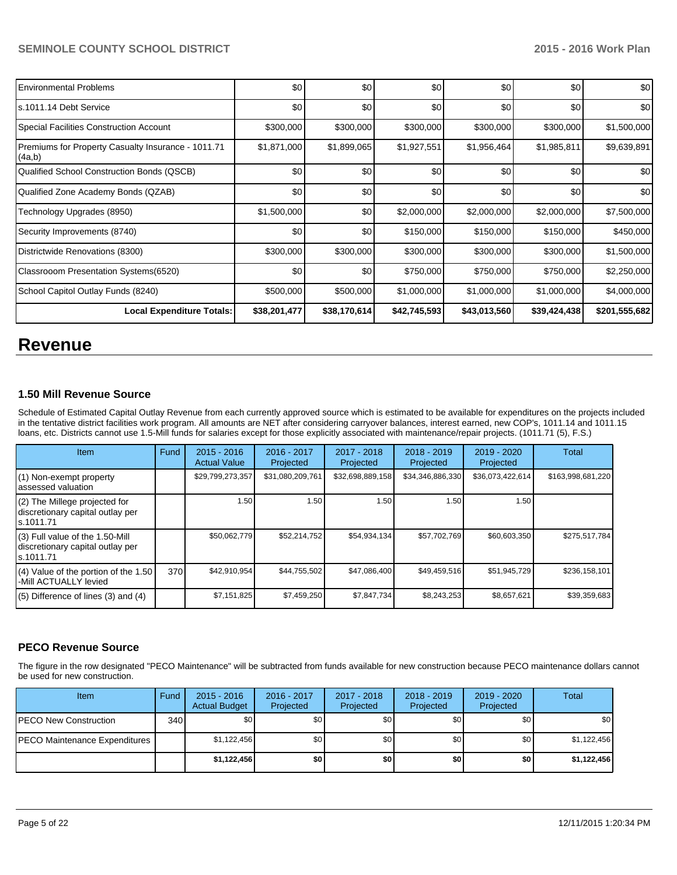| <b>Environmental Problems</b>                                | \$0          | \$0          | \$0          | \$0          | \$0          | \$0           |
|--------------------------------------------------------------|--------------|--------------|--------------|--------------|--------------|---------------|
| s.1011.14 Debt Service                                       | \$0          | \$0          | \$0          | \$0          | \$0          | \$0           |
| <b>Special Facilities Construction Account</b>               | \$300,000    | \$300,000    | \$300,000    | \$300,000    | \$300,000    | \$1,500,000   |
| Premiums for Property Casualty Insurance - 1011.71<br>(4a,b) | \$1,871,000  | \$1,899,065  | \$1,927,551  | \$1,956,464  | \$1,985,811  | \$9,639,891   |
| Qualified School Construction Bonds (QSCB)                   | \$0          | \$0          | \$0          | \$0          | \$0          | \$0           |
| Qualified Zone Academy Bonds (QZAB)                          | \$0          | \$0          | \$0          | \$0          | \$0          | \$0           |
| Technology Upgrades (8950)                                   | \$1,500,000  | \$0          | \$2,000,000  | \$2,000,000  | \$2,000,000  | \$7,500,000   |
| Security Improvements (8740)                                 | \$0          | \$0          | \$150,000    | \$150,000    | \$150,000    | \$450,000     |
| Districtwide Renovations (8300)                              | \$300,000    | \$300,000    | \$300,000    | \$300,000    | \$300,000    | \$1,500,000   |
| Classrooom Presentation Systems(6520)                        | \$0          | \$0          | \$750,000    | \$750,000    | \$750,000    | \$2,250,000   |
| School Capitol Outlay Funds (8240)                           | \$500,000    | \$500,000    | \$1,000,000  | \$1,000,000  | \$1,000,000  | \$4,000,000   |
| <b>Local Expenditure Totals:</b>                             | \$38,201,477 | \$38,170,614 | \$42,745,593 | \$43,013,560 | \$39,424,438 | \$201,555,682 |

# **Revenue**

## **1.50 Mill Revenue Source**

Schedule of Estimated Capital Outlay Revenue from each currently approved source which is estimated to be available for expenditures on the projects included in the tentative district facilities work program. All amounts are NET after considering carryover balances, interest earned, new COP's, 1011.14 and 1011.15 loans, etc. Districts cannot use 1.5-Mill funds for salaries except for those explicitly associated with maintenance/repair projects. (1011.71 (5), F.S.)

| Item                                                                              | Fund | $2015 - 2016$<br><b>Actual Value</b> | $2016 - 2017$<br>Projected | $2017 - 2018$<br>Projected | 2018 - 2019<br>Projected | $2019 - 2020$<br>Projected | <b>Total</b>      |
|-----------------------------------------------------------------------------------|------|--------------------------------------|----------------------------|----------------------------|--------------------------|----------------------------|-------------------|
| (1) Non-exempt property<br>assessed valuation                                     |      | \$29,799,273,357                     | \$31,080,209,761           | \$32,698,889,158           | \$34,346,886,330         | \$36,073,422,614           | \$163,998,681,220 |
| (2) The Millege projected for<br>discretionary capital outlay per<br>ls.1011.71   |      | 1.50                                 | 1.50                       | 1.50                       | 1.50                     | 1.50                       |                   |
| (3) Full value of the 1.50-Mill<br>discretionary capital outlay per<br>ls.1011.71 |      | \$50,062,779                         | \$52,214,752               | \$54,934,134               | \$57,702,769             | \$60,603,350               | \$275.517.784     |
| (4) Value of the portion of the 1.50<br>-Mill ACTUALLY levied                     | 370  | \$42,910,954                         | \$44,755,502               | \$47,086,400               | \$49,459,516             | \$51,945,729               | \$236,158,101     |
| $(5)$ Difference of lines (3) and (4)                                             |      | \$7,151,825                          | \$7,459,250                | \$7,847,734                | \$8,243,253              | \$8,657,621                | \$39,359,683      |

# **PECO Revenue Source**

The figure in the row designated "PECO Maintenance" will be subtracted from funds available for new construction because PECO maintenance dollars cannot be used for new construction.

| <b>Item</b>                          | Fund | $2015 - 2016$<br><b>Actual Budget</b> | 2016 - 2017<br>Projected | 2017 - 2018<br>Projected | $2018 - 2019$<br>Projected | $2019 - 2020$<br>Projected | Total            |
|--------------------------------------|------|---------------------------------------|--------------------------|--------------------------|----------------------------|----------------------------|------------------|
| <b>PECO New Construction</b>         | 340  | \$O I                                 | \$0                      | \$0 <sub>1</sub>         | \$0 <sub>0</sub>           | \$0 <sub>1</sub>           | \$0 <sub>1</sub> |
| <b>PECO Maintenance Expenditures</b> |      | \$1,122,456                           | \$0                      | \$0                      | \$0                        | \$0                        | \$1,122,456      |
|                                      |      | \$1,122,456                           | \$0                      | \$0                      | \$0                        | \$0 I                      | \$1,122,456      |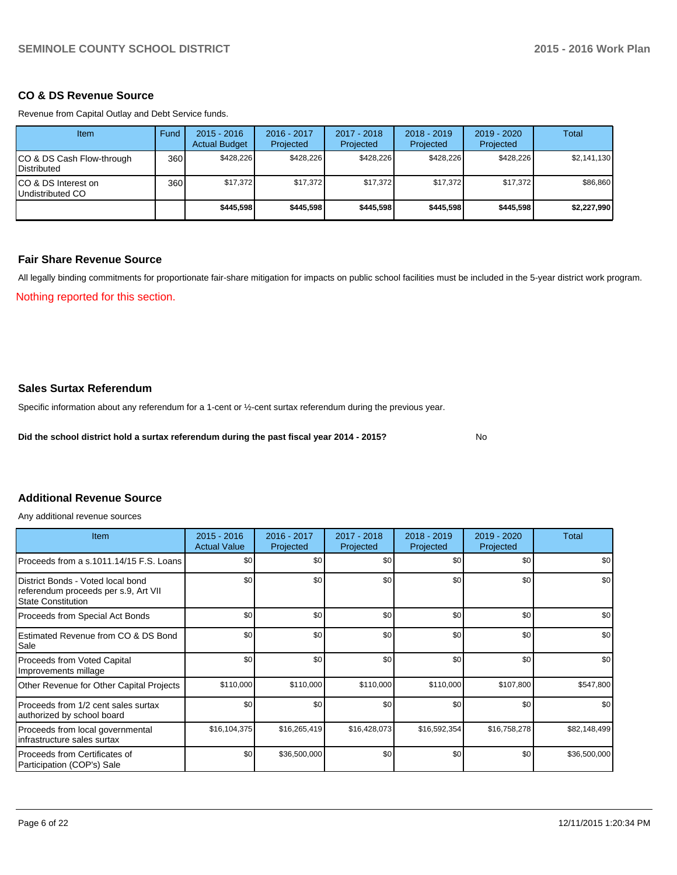#### **CO & DS Revenue Source**

Revenue from Capital Outlay and Debt Service funds.

| Item                                     | Fund | $2015 - 2016$<br>Actual Budget | 2016 - 2017<br>Projected | 2017 - 2018<br>Projected | $2018 - 2019$<br>Projected | 2019 - 2020<br>Projected | Total       |
|------------------------------------------|------|--------------------------------|--------------------------|--------------------------|----------------------------|--------------------------|-------------|
| CO & DS Cash Flow-through<br>Distributed | 360  | \$428.226                      | \$428.226                | \$428.226                | \$428.226                  | \$428,226                | \$2,141,130 |
| CO & DS Interest on<br>Undistributed CO  | 360  | \$17,372                       | \$17.372                 | \$17,372                 | \$17,372                   | \$17,372                 | \$86,860    |
|                                          |      | \$445,598                      | \$445.598                | \$445,598                | \$445.598                  | \$445.598                | \$2,227,990 |

## **Fair Share Revenue Source**

All legally binding commitments for proportionate fair-share mitigation for impacts on public school facilities must be included in the 5-year district work program.

Nothing reported for this section.

#### **Sales Surtax Referendum**

Specific information about any referendum for a 1-cent or ½-cent surtax referendum during the previous year.

**Did the school district hold a surtax referendum during the past fiscal year 2014 - 2015?**

No

#### **Additional Revenue Source**

Any additional revenue sources

| <b>Item</b>                                                                                            | $2015 - 2016$<br><b>Actual Value</b> | 2016 - 2017<br>Projected | 2017 - 2018<br>Projected | $2018 - 2019$<br>Projected | 2019 - 2020<br>Projected | Total        |
|--------------------------------------------------------------------------------------------------------|--------------------------------------|--------------------------|--------------------------|----------------------------|--------------------------|--------------|
| Proceeds from a s.1011.14/15 F.S. Loans                                                                | \$0                                  | \$0                      | \$0                      | \$0                        | \$0                      | \$0          |
| District Bonds - Voted local bond<br>referendum proceeds per s.9, Art VII<br><b>State Constitution</b> | \$0                                  | \$0                      | \$0                      | \$0                        | \$0                      | \$0          |
| Proceeds from Special Act Bonds                                                                        | \$0                                  | \$0                      | \$0                      | \$0                        | \$0                      | \$0          |
| Estimated Revenue from CO & DS Bond<br>Sale                                                            | \$0                                  | \$0                      | \$0                      | \$0                        | \$0                      | \$0          |
| <b>Proceeds from Voted Capital</b><br>Improvements millage                                             | \$0                                  | \$0                      | \$0                      | \$0                        | \$0                      | \$0          |
| Other Revenue for Other Capital Projects                                                               | \$110,000                            | \$110,000                | \$110,000                | \$110,000                  | \$107,800                | \$547,800    |
| Proceeds from 1/2 cent sales surtax<br>authorized by school board                                      | \$0 <sub>1</sub>                     | \$0                      | \$0                      | \$0                        | \$0                      | \$0          |
| Proceeds from local governmental<br>Infrastructure sales surtax                                        | \$16,104,375                         | \$16,265,419             | \$16,428,073             | \$16,592,354               | \$16,758,278             | \$82,148,499 |
| l Proceeds from Certificates of<br>Participation (COP's) Sale                                          | \$0                                  | \$36,500,000             | \$0                      | \$0                        | \$0                      | \$36,500,000 |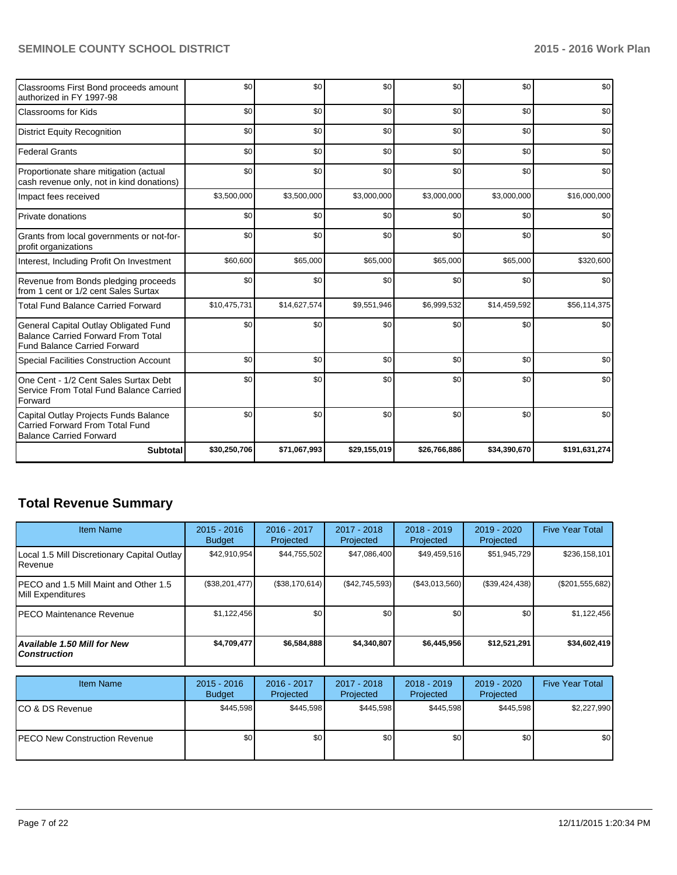| Classrooms First Bond proceeds amount<br>authorized in FY 1997-98                                                         | \$0          | \$0          | \$0          | \$0          | \$0          | \$0           |
|---------------------------------------------------------------------------------------------------------------------------|--------------|--------------|--------------|--------------|--------------|---------------|
| <b>Classrooms for Kids</b>                                                                                                | \$0          | \$0          | \$0          | \$0          | \$0          | \$0           |
| <b>District Equity Recognition</b>                                                                                        | \$0          | \$0          | \$0          | \$0          | \$0          | \$0           |
| <b>Federal Grants</b>                                                                                                     | \$0          | \$0          | \$0          | \$0          | \$0          | \$0           |
| Proportionate share mitigation (actual<br>cash revenue only, not in kind donations)                                       | \$0          | \$0          | \$0          | \$0          | \$0          | \$0           |
| Impact fees received                                                                                                      | \$3,500,000  | \$3,500,000  | \$3,000,000  | \$3,000,000  | \$3,000,000  | \$16,000,000  |
| Private donations                                                                                                         | \$0          | \$0          | \$0          | \$0          | \$0          | \$0           |
| Grants from local governments or not-for-<br>profit organizations                                                         | \$0          | \$0          | \$0          | \$0          | \$0          | \$0           |
| Interest, Including Profit On Investment                                                                                  | \$60,600     | \$65,000     | \$65,000     | \$65,000     | \$65,000     | \$320,600     |
| Revenue from Bonds pledging proceeds<br>from 1 cent or 1/2 cent Sales Surtax                                              | \$0          | \$0          | \$0          | \$0          | \$0          | \$0           |
| <b>Total Fund Balance Carried Forward</b>                                                                                 | \$10,475,731 | \$14,627,574 | \$9,551,946  | \$6,999,532  | \$14,459,592 | \$56,114,375  |
| General Capital Outlay Obligated Fund<br><b>Balance Carried Forward From Total</b><br><b>Fund Balance Carried Forward</b> | \$0          | \$0          | \$0          | \$0          | \$0          | \$0           |
| <b>Special Facilities Construction Account</b>                                                                            | \$0          | \$0          | \$0          | \$0          | \$0          | \$0           |
| One Cent - 1/2 Cent Sales Surtax Debt<br>Service From Total Fund Balance Carried<br>Forward                               | \$0          | \$0          | \$0          | \$0          | \$0          | \$0           |
| Capital Outlay Projects Funds Balance<br>Carried Forward From Total Fund<br><b>Balance Carried Forward</b>                | \$0          | \$0          | \$0          | \$0          | \$0          | \$0           |
| <b>Subtotal</b>                                                                                                           | \$30,250,706 | \$71,067,993 | \$29,155,019 | \$26,766,886 | \$34,390,670 | \$191,631,274 |

# **Total Revenue Summary**

| <b>Item Name</b>                                                   | $2015 - 2016$<br><b>Budget</b> | 2016 - 2017<br>Projected | 2017 - 2018<br>Projected | $2018 - 2019$<br>Projected | $2019 - 2020$<br>Projected | <b>Five Year Total</b> |
|--------------------------------------------------------------------|--------------------------------|--------------------------|--------------------------|----------------------------|----------------------------|------------------------|
| Local 1.5 Mill Discretionary Capital Outlay<br><b>I</b> Revenue    | \$42,910,954                   | \$44,755,502             | \$47,086,400             | \$49,459,516               | \$51,945,729               | \$236,158,101          |
| PECO and 1.5 Mill Maint and Other 1.5<br><b>IMill Expenditures</b> | (\$38,201,477)                 | (S38.170.614)            | (S42, 745, 593)          | (\$43,013,560)             | (\$39,424,438)             | $(\$201,555,682)$      |
| IPECO Maintenance Revenue                                          | \$1,122,456                    | \$0                      | \$0                      | \$0 <sub>1</sub>           | \$0 <sub>1</sub>           | \$1,122,456            |
| Available 1.50 Mill for New l<br>l Construction                    | \$4,709,477                    | \$6,584,888              | \$4,340,807              | \$6,445,956                | \$12,521,291               | \$34,602,419           |

| <b>Item Name</b>                      | $2015 - 2016$<br><b>Budget</b> | 2016 - 2017<br>Projected | 2017 - 2018<br>Projected | $2018 - 2019$<br>Projected | 2019 - 2020<br>Projected | <b>Five Year Total</b> |
|---------------------------------------|--------------------------------|--------------------------|--------------------------|----------------------------|--------------------------|------------------------|
| ICO & DS Revenue                      | \$445.598                      | \$445.598                | \$445.598                | \$445.598                  | \$445.598                | \$2,227,990            |
| <b>IPECO New Construction Revenue</b> | \$0                            | \$0                      | \$0                      | \$0                        | \$0                      | \$0                    |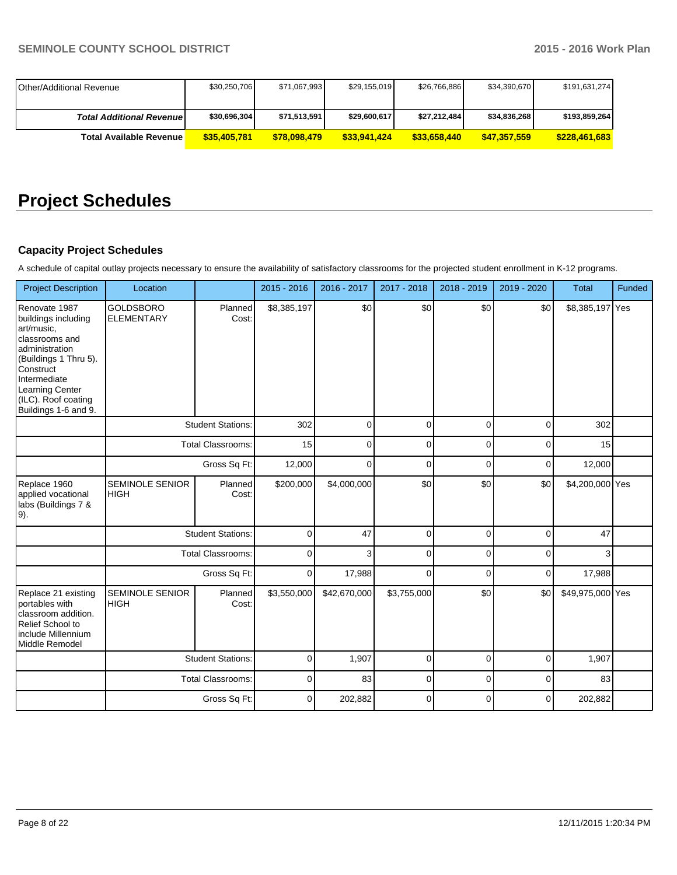| <b>IOther/Additional Revenue</b> | \$30,250,706 | \$71,067,993 | \$29,155,019 | \$26,766,886 | \$34,390,670 | \$191,631,274 |
|----------------------------------|--------------|--------------|--------------|--------------|--------------|---------------|
|                                  |              |              |              |              |              |               |
| <b>Total Additional Revenuel</b> | \$30,696,304 | \$71,513,591 | \$29,600,617 | \$27,212,484 | \$34.836.268 | \$193,859,264 |
| <b>Total Available Revenue</b>   | \$35,405,781 | \$78,098,479 | \$33.941.424 | \$33,658,440 | \$47,357,559 | \$228,461,683 |

# **Project Schedules**

# **Capacity Project Schedules**

A schedule of capital outlay projects necessary to ensure the availability of satisfactory classrooms for the projected student enrollment in K-12 programs.

| <b>Project Description</b>                                                                                                                                                                                     | Location                              |                          | $2015 - 2016$ | 2016 - 2017  | 2017 - 2018  | 2018 - 2019 | 2019 - 2020 | <b>Total</b>     | Funded |
|----------------------------------------------------------------------------------------------------------------------------------------------------------------------------------------------------------------|---------------------------------------|--------------------------|---------------|--------------|--------------|-------------|-------------|------------------|--------|
| Renovate 1987<br>buildings including<br>art/music,<br>classrooms and<br>administration<br>(Buildings 1 Thru 5).<br>Construct<br>Intermediate<br>Learning Center<br>(ILC). Roof coating<br>Buildings 1-6 and 9. | <b>GOLDSBORO</b><br><b>ELEMENTARY</b> | Planned<br>Cost:         | \$8,385,197   | \$0          | \$0          | \$0         | \$0         | \$8,385,197 Yes  |        |
|                                                                                                                                                                                                                |                                       | <b>Student Stations:</b> | 302           | 0            | $\mathbf 0$  | 0           | 0           | 302              |        |
|                                                                                                                                                                                                                |                                       | <b>Total Classrooms:</b> | 15            | 0            | $\mathbf 0$  | 0           | 0           | 15               |        |
|                                                                                                                                                                                                                |                                       | Gross Sq Ft:             | 12,000        | 0            | 0            | 0           | 0           | 12,000           |        |
| Replace 1960<br>applied vocational<br>labs (Buildings 7 &<br>9).                                                                                                                                               | <b>SEMINOLE SENIOR</b><br><b>HIGH</b> | Planned<br>Cost:         | \$200,000     | \$4,000,000  | \$0          | \$0         | \$0         | \$4,200,000 Yes  |        |
|                                                                                                                                                                                                                |                                       | <b>Student Stations:</b> | $\mathbf 0$   | 47           | $\mathbf 0$  | 0           | $\mathbf 0$ | 47               |        |
|                                                                                                                                                                                                                |                                       | <b>Total Classrooms:</b> | $\mathbf 0$   | 3            | 0            | 0           | 0           | 3                |        |
|                                                                                                                                                                                                                |                                       | Gross Sq Ft:             | $\mathbf 0$   | 17,988       | $\mathbf{0}$ | $\Omega$    | 0           | 17,988           |        |
| Replace 21 existing<br>portables with<br>classroom addition.<br>Relief School to<br>include Millennium<br>Middle Remodel                                                                                       | <b>SEMINOLE SENIOR</b><br><b>HIGH</b> | Planned<br>Cost:         | \$3,550,000   | \$42,670,000 | \$3,755,000  | \$0         | \$0         | \$49,975,000 Yes |        |
|                                                                                                                                                                                                                |                                       | <b>Student Stations:</b> | $\mathbf 0$   | 1,907        | 0            | 0           | 0           | 1,907            |        |
|                                                                                                                                                                                                                | <b>Total Classrooms:</b>              |                          | $\mathbf 0$   | 83           | 0            | 0           | 0           | 83               |        |
|                                                                                                                                                                                                                |                                       | Gross Sq Ft:             | 0             | 202,882      | 0            | 0           | 0           | 202,882          |        |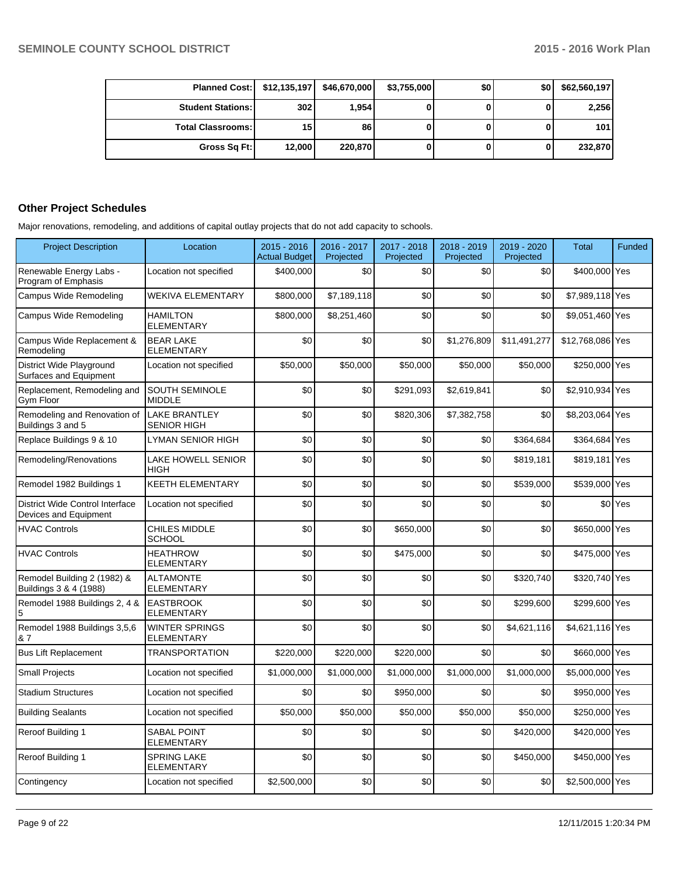| Planned Cost:   \$12,135,197   \$46,670,000 |        |         | \$3,755,000 | \$0 | \$0 | \$62,560,197 |
|---------------------------------------------|--------|---------|-------------|-----|-----|--------------|
| <b>Student Stations:</b>                    | 302    | 1.954 l |             |     |     | 2,256        |
| <b>Total Classrooms:</b>                    | 15     | 86      |             |     |     | 101          |
| Gross Sq Ft:                                | 12,000 | 220,870 |             |     |     | 232,870      |

# **Other Project Schedules**

Major renovations, remodeling, and additions of capital outlay projects that do not add capacity to schools.

| <b>Project Description</b>                               | Location                                   | $2015 - 2016$<br><b>Actual Budget</b> | 2016 - 2017<br>Projected | 2017 - 2018<br>Projected | 2018 - 2019<br>Projected | 2019 - 2020<br>Projected | <b>Total</b>     | <b>Funded</b>      |
|----------------------------------------------------------|--------------------------------------------|---------------------------------------|--------------------------|--------------------------|--------------------------|--------------------------|------------------|--------------------|
| Renewable Energy Labs -<br>Program of Emphasis           | Location not specified                     | \$400,000                             | \$0                      | \$0                      | \$0                      | \$0                      | \$400,000 Yes    |                    |
| Campus Wide Remodeling                                   | <b>WEKIVA ELEMENTARY</b>                   | \$800.000                             | \$7,189,118              | \$0                      | \$0                      | \$0                      | \$7,989,118 Yes  |                    |
| Campus Wide Remodeling                                   | <b>HAMILTON</b><br><b>ELEMENTARY</b>       | \$800,000                             | \$8,251,460              | \$0                      | \$0                      | \$0                      | \$9,051,460 Yes  |                    |
| Campus Wide Replacement &<br>Remodeling                  | <b>BEAR LAKE</b><br><b>ELEMENTARY</b>      | \$0                                   | \$0                      | \$0                      | \$1,276,809              | \$11,491,277             | \$12,768,086 Yes |                    |
| District Wide Playground<br>Surfaces and Equipment       | Location not specified                     | \$50,000                              | \$50,000                 | \$50,000                 | \$50,000                 | \$50,000                 | \$250,000 Yes    |                    |
| Replacement, Remodeling and<br>Gym Floor                 | SOUTH SEMINOLE<br><b>MIDDLE</b>            | \$0                                   | \$0                      | \$291,093                | \$2,619,841              | \$0                      | \$2,910,934 Yes  |                    |
| Remodeling and Renovation of<br>Buildings 3 and 5        | <b>LAKE BRANTLEY</b><br><b>SENIOR HIGH</b> | \$0                                   | \$0                      | \$820,306                | \$7,382,758              | \$0                      | \$8,203,064 Yes  |                    |
| Replace Buildings 9 & 10                                 | LYMAN SENIOR HIGH                          | \$0                                   | \$0                      | \$0                      | \$0                      | \$364,684                | \$364,684 Yes    |                    |
| Remodeling/Renovations                                   | <b>LAKE HOWELL SENIOR</b><br><b>HIGH</b>   | \$0                                   | \$0                      | \$0                      | \$0                      | \$819,181                | \$819,181 Yes    |                    |
| Remodel 1982 Buildings 1                                 | <b>KEETH ELEMENTARY</b>                    | \$0                                   | \$0                      | \$0                      | \$0                      | \$539,000                | \$539,000 Yes    |                    |
| District Wide Control Interface<br>Devices and Equipment | Location not specified                     | \$0                                   | \$0                      | \$0                      | \$0                      | \$0                      |                  | \$0 <sup>Yes</sup> |
| <b>HVAC Controls</b>                                     | <b>CHILES MIDDLE</b><br><b>SCHOOL</b>      | \$0                                   | \$0                      | \$650,000                | \$0                      | \$0                      | \$650,000 Yes    |                    |
| <b>HVAC Controls</b>                                     | <b>HEATHROW</b><br><b>ELEMENTARY</b>       | \$0                                   | \$0                      | \$475,000                | \$0                      | \$0                      | \$475,000 Yes    |                    |
| Remodel Building 2 (1982) &<br>Buildings 3 & 4 (1988)    | <b>ALTAMONTE</b><br><b>ELEMENTARY</b>      | \$0                                   | \$0                      | \$0                      | \$0                      | \$320,740                | \$320,740 Yes    |                    |
| Remodel 1988 Buildings 2, 4 &<br>5                       | <b>EASTBROOK</b><br><b>ELEMENTARY</b>      | \$0                                   | \$0                      | \$0                      | \$0                      | \$299,600                | \$299,600 Yes    |                    |
| Remodel 1988 Buildings 3,5,6<br>& 7                      | <b>WINTER SPRINGS</b><br><b>ELEMENTARY</b> | \$0                                   | \$0                      | \$0                      | \$0                      | \$4,621,116              | \$4,621,116 Yes  |                    |
| <b>Bus Lift Replacement</b>                              | TRANSPORTATION                             | \$220,000                             | \$220,000                | \$220,000                | \$0                      | \$0                      | \$660,000 Yes    |                    |
| <b>Small Projects</b>                                    | Location not specified                     | \$1,000,000                           | \$1.000.000              | \$1,000,000              | \$1,000,000              | \$1,000,000              | \$5,000,000 Yes  |                    |
| <b>Stadium Structures</b>                                | Location not specified                     | \$0                                   | \$0                      | \$950,000                | \$0                      | \$0                      | \$950,000 Yes    |                    |
| <b>Building Sealants</b>                                 | Location not specified                     | \$50,000                              | \$50,000                 | \$50,000                 | \$50,000                 | \$50,000                 | \$250,000 Yes    |                    |
| Reroof Building 1                                        | <b>SABAL POINT</b><br>ELEMENTARY           | \$0                                   | \$0                      | \$0                      | \$0                      | \$420,000                | \$420,000 Yes    |                    |
| Reroof Building 1                                        | <b>SPRING LAKE</b><br>ELEMENTARY           | \$0                                   | \$0                      | \$0                      | \$0                      | \$450,000                | \$450,000 Yes    |                    |
| Contingency                                              | Location not specified                     | \$2,500,000                           | \$0                      | \$0                      | \$0                      | \$0                      | \$2,500,000 Yes  |                    |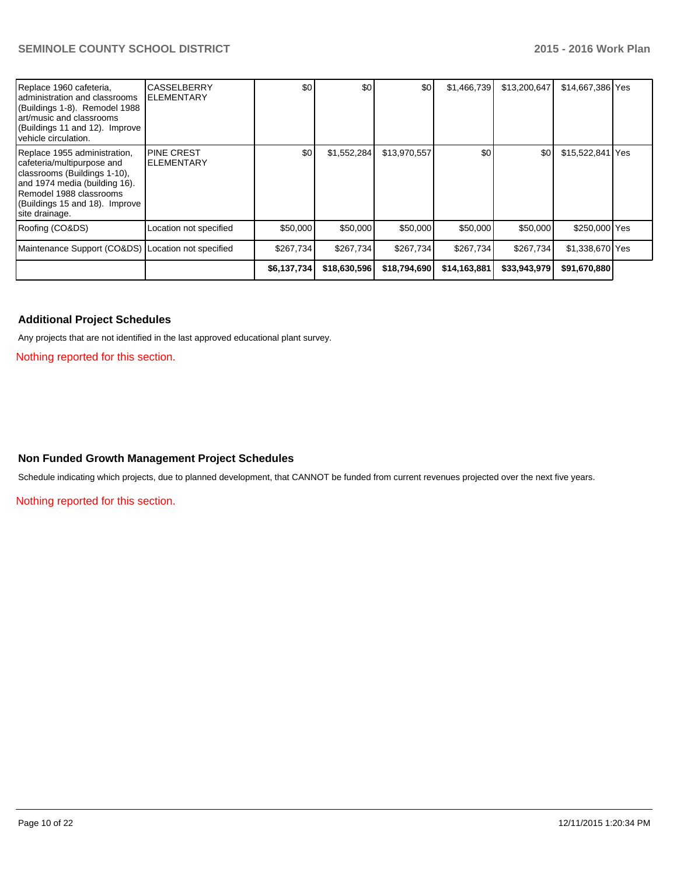| Replace 1960 cafeteria,<br>administration and classrooms<br>(Buildings 1-8). Remodel 1988<br>art/music and classrooms<br>(Buildings 11 and 12). Improve<br>vehicle circulation.                            | <b>CASSELBERRY</b><br>IELEMENTARY      | \$0         | \$0          | \$0          | \$1,466,739  | \$13,200,647     | \$14,667,386 Yes |  |
|------------------------------------------------------------------------------------------------------------------------------------------------------------------------------------------------------------|----------------------------------------|-------------|--------------|--------------|--------------|------------------|------------------|--|
| Replace 1955 administration,<br>cafeteria/multipurpose and<br>classrooms (Buildings 1-10),<br>and 1974 media (building 16).<br>Remodel 1988 classrooms<br>(Buildings 15 and 18). Improve<br>site drainage. | <b>PINE CREST</b><br><b>ELEMENTARY</b> | \$0         | \$1,552,284  | \$13,970,557 | \$0          | \$0 <sub>l</sub> | \$15,522,841 Yes |  |
| Roofing (CO&DS)                                                                                                                                                                                            | Location not specified                 | \$50,000    | \$50,000     | \$50,000     | \$50,000     | \$50,000         | \$250,000 Yes    |  |
| Maintenance Support (CO&DS) Location not specified                                                                                                                                                         |                                        | \$267.734   | \$267.734    | \$267.734    | \$267.734    | \$267.734        | \$1,338,670 Yes  |  |
|                                                                                                                                                                                                            |                                        | \$6,137,734 | \$18,630,596 | \$18,794,690 | \$14,163,881 | \$33,943,979     | \$91,670,880     |  |

#### **Additional Project Schedules**

Any projects that are not identified in the last approved educational plant survey.

Nothing reported for this section.

# **Non Funded Growth Management Project Schedules**

Schedule indicating which projects, due to planned development, that CANNOT be funded from current revenues projected over the next five years.

Nothing reported for this section.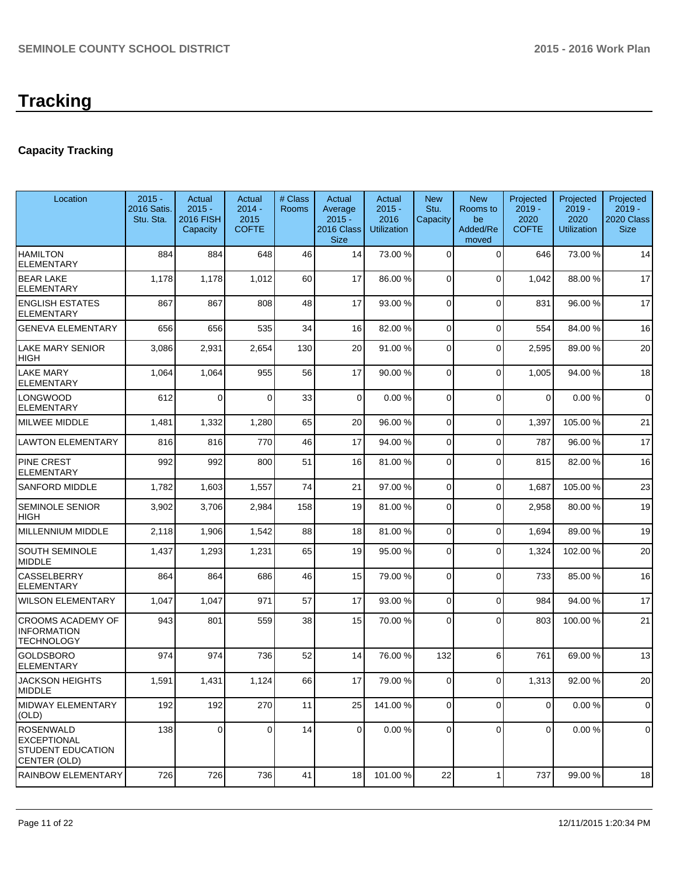# **Tracking**

# **Capacity Tracking**

| Location                                                                           | $2015 -$<br>2016 Satis.<br>Stu. Sta. | Actual<br>$2015 -$<br><b>2016 FISH</b><br>Capacity | Actual<br>$2014 -$<br>2015<br><b>COFTE</b> | # Class<br>Rooms | Actual<br>Average<br>$2015 -$<br>2016 Class<br><b>Size</b> | Actual<br>$2015 -$<br>2016<br><b>Utilization</b> | <b>New</b><br>Stu.<br>Capacity | <b>New</b><br>Rooms to<br>be<br>Added/Re<br>moved | Projected<br>$2019 -$<br>2020<br><b>COFTE</b> | Projected<br>$2019 -$<br>2020<br><b>Utilization</b> | Projected<br>$2019 -$<br>2020 Class<br><b>Size</b> |
|------------------------------------------------------------------------------------|--------------------------------------|----------------------------------------------------|--------------------------------------------|------------------|------------------------------------------------------------|--------------------------------------------------|--------------------------------|---------------------------------------------------|-----------------------------------------------|-----------------------------------------------------|----------------------------------------------------|
| <b>HAMILTON</b><br><b>ELEMENTARY</b>                                               | 884                                  | 884                                                | 648                                        | 46               | 14                                                         | 73.00 %                                          | 0                              | $\Omega$                                          | 646                                           | 73.00 %                                             | 14                                                 |
| <b>BEAR LAKE</b><br>ELEMENTARY                                                     | 1,178                                | 1,178                                              | 1,012                                      | 60               | 17                                                         | 86.00 %                                          | 0                              | $\Omega$                                          | 1,042                                         | 88.00 %                                             | 17                                                 |
| <b>ENGLISH ESTATES</b><br><b>ELEMENTARY</b>                                        | 867                                  | 867                                                | 808                                        | 48               | 17                                                         | 93.00 %                                          | 0                              | $\Omega$                                          | 831                                           | 96.00%                                              | 17                                                 |
| <b>GENEVA ELEMENTARY</b>                                                           | 656                                  | 656                                                | 535                                        | 34               | 16                                                         | 82.00 %                                          | 0                              | $\Omega$                                          | 554                                           | 84.00%                                              | 16                                                 |
| LAKE MARY SENIOR<br>HIGH                                                           | 3,086                                | 2,931                                              | 2,654                                      | 130              | 20                                                         | 91.00 %                                          | $\Omega$                       | $\Omega$                                          | 2,595                                         | 89.00 %                                             | 20                                                 |
| LAKE MARY<br><b>ELEMENTARY</b>                                                     | 1,064                                | 1,064                                              | 955                                        | 56               | 17                                                         | 90.00 %                                          | 0                              | $\Omega$                                          | 1,005                                         | 94.00 %                                             | 18                                                 |
| <b>LONGWOOD</b><br><b>ELEMENTARY</b>                                               | 612                                  | $\Omega$                                           | $\Omega$                                   | 33               | $\Omega$                                                   | 0.00%                                            | 0                              | $\Omega$                                          | $\Omega$                                      | 0.00%                                               | $\mathbf 0$                                        |
| MILWEE MIDDLE                                                                      | 1,481                                | 1,332                                              | 1,280                                      | 65               | 20                                                         | 96.00 %                                          | 0                              | $\Omega$                                          | 1,397                                         | 105.00 %                                            | 21                                                 |
| <b>LAWTON ELEMENTARY</b>                                                           | 816                                  | 816                                                | 770                                        | 46               | 17                                                         | 94.00 %                                          | 0                              | $\Omega$                                          | 787                                           | 96.00 %                                             | 17                                                 |
| PINE CREST<br>ELEMENTARY                                                           | 992                                  | 992                                                | 800                                        | 51               | 16                                                         | 81.00 %                                          | 0                              | $\Omega$                                          | 815                                           | 82.00%                                              | 16                                                 |
| SANFORD MIDDLE                                                                     | 1,782                                | 1,603                                              | 1,557                                      | 74               | 21                                                         | 97.00 %                                          | $\overline{0}$                 | $\Omega$                                          | 1,687                                         | 105.00 %                                            | 23                                                 |
| <b>SEMINOLE SENIOR</b><br>HIGH                                                     | 3,902                                | 3,706                                              | 2,984                                      | 158              | 19                                                         | 81.00 %                                          | $\Omega$                       | $\Omega$                                          | 2,958                                         | 80.00%                                              | 19                                                 |
| MILLENNIUM MIDDLE                                                                  | 2,118                                | 1,906                                              | 1,542                                      | 88               | 18                                                         | 81.00 %                                          | 0                              | $\overline{0}$                                    | 1,694                                         | 89.00 %                                             | 19                                                 |
| SOUTH SEMINOLE<br><b>MIDDLE</b>                                                    | 1,437                                | 1,293                                              | 1,231                                      | 65               | 19                                                         | 95.00 %                                          | 0                              | $\Omega$                                          | 1,324                                         | 102.00%                                             | 20                                                 |
| <b>CASSELBERRY</b><br><b>ELEMENTARY</b>                                            | 864                                  | 864                                                | 686                                        | 46               | 15                                                         | 79.00 %                                          | 0                              | $\Omega$                                          | 733                                           | 85.00 %                                             | 16                                                 |
| <b>WILSON ELEMENTARY</b>                                                           | 1,047                                | 1,047                                              | 971                                        | 57               | 17                                                         | 93.00 %                                          | 0                              | $\Omega$                                          | 984                                           | 94.00 %                                             | 17                                                 |
| CROOMS ACADEMY OF<br><b>INFORMATION</b><br>TECHNOLOGY                              | 943                                  | 801                                                | 559                                        | 38               | 15                                                         | 70.00 %                                          | $\Omega$                       | $\Omega$                                          | 803                                           | 100.00%                                             | 21                                                 |
| <b>GOLDSBORO</b><br><b>ELEMENTARY</b>                                              | 974                                  | 974                                                | 736                                        | 52               | 14                                                         | 76.00 %                                          | 132                            | 6                                                 | 761                                           | 69.00 %                                             | 13                                                 |
| <b>JACKSON HEIGHTS</b><br><b>MIDDLE</b>                                            | 1,591                                | 1,431                                              | 1,124                                      | 66               | 17 <sup>1</sup>                                            | 79.00 %                                          | $\overline{0}$                 | $\Omega$                                          | 1,313                                         | 92.00%                                              | 20                                                 |
| MIDWAY ELEMENTARY<br>(OLD)                                                         | 192                                  | 192                                                | 270                                        | 11               | 25                                                         | 141.00%                                          | 0                              | $\Omega$                                          | 0                                             | 0.00%                                               | 0                                                  |
| <b>ROSENWALD</b><br><b>EXCEPTIONAL</b><br><b>STUDENT EDUCATION</b><br>CENTER (OLD) | 138                                  | $\mathbf 0$                                        | $\Omega$                                   | 14               | οI                                                         | 0.00%                                            | $\overline{0}$                 | $\Omega$                                          | $\overline{0}$                                | 0.00%                                               | $\mathbf 0$                                        |
| RAINBOW ELEMENTARY                                                                 | 726                                  | 726                                                | 736                                        | 41               | 18                                                         | 101.00 %                                         | 22                             | 1                                                 | 737                                           | 99.00 %                                             | 18                                                 |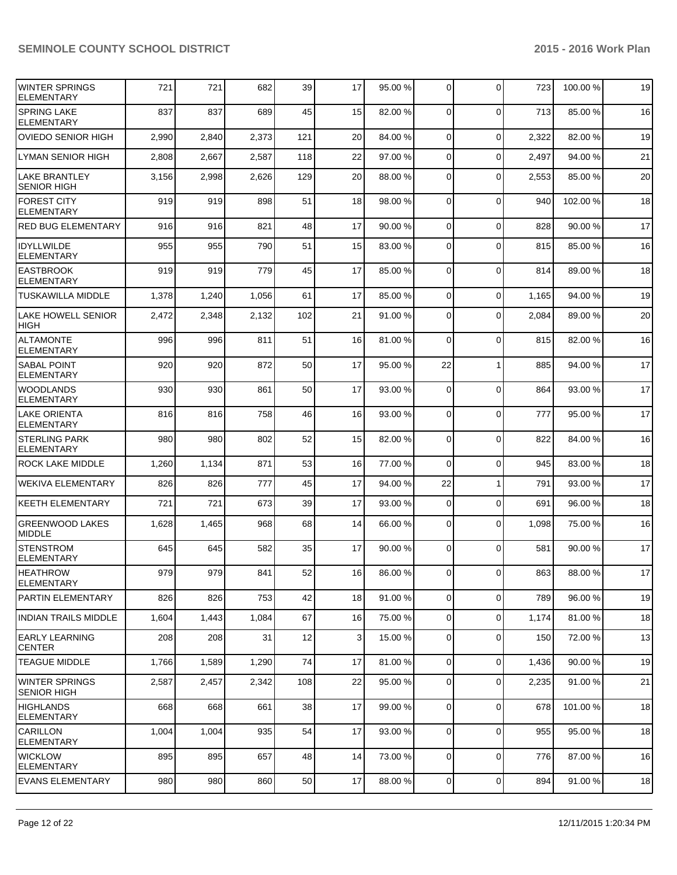| <b>WINTER SPRINGS</b><br><b>ELEMENTARY</b>  | 721   | 721   | 682   | 39  | 17             | 95.00 % | $\overline{0}$ | $\Omega$    | 723   | 100.00% | 19     |
|---------------------------------------------|-------|-------|-------|-----|----------------|---------|----------------|-------------|-------|---------|--------|
| <b>SPRING LAKE</b><br><b>ELEMENTARY</b>     | 837   | 837   | 689   | 45  | 15             | 82.00 % | $\Omega$       | $\mathbf 0$ | 713   | 85.00 % | 16     |
| <b>OVIEDO SENIOR HIGH</b>                   | 2,990 | 2,840 | 2,373 | 121 | 20             | 84.00 % | $\overline{0}$ | $\mathbf 0$ | 2,322 | 82.00%  | 19     |
| <b>LYMAN SENIOR HIGH</b>                    | 2,808 | 2,667 | 2,587 | 118 | 22             | 97.00 % | $\overline{0}$ | $\mathbf 0$ | 2,497 | 94.00%  | 21     |
| <b>LAKE BRANTLEY</b><br><b>SENIOR HIGH</b>  | 3,156 | 2,998 | 2,626 | 129 | 20             | 88.00 % | $\Omega$       | $\mathbf 0$ | 2,553 | 85.00 % | 20     |
| <b>FOREST CITY</b><br><b>ELEMENTARY</b>     | 919   | 919   | 898   | 51  | 18             | 98.00 % | $\Omega$       | $\Omega$    | 940   | 102.00% | 18     |
| <b>RED BUG ELEMENTARY</b>                   | 916   | 916   | 821   | 48  | 17             | 90.00 % | $\Omega$       | $\Omega$    | 828   | 90.00%  | 17     |
| <b>IDYLLWILDE</b><br><b>ELEMENTARY</b>      | 955   | 955   | 790   | 51  | 15             | 83.00 % | 0              | $\mathbf 0$ | 815   | 85.00 % | 16     |
| <b>EASTBROOK</b><br><b>ELEMENTARY</b>       | 919   | 919   | 779   | 45  | 17             | 85.00 % | $\Omega$       | $\mathbf 0$ | 814   | 89.00 % | 18     |
| <b>TUSKAWILLA MIDDLE</b>                    | 1,378 | 1,240 | 1,056 | 61  | 17             | 85.00 % | $\Omega$       | $\mathbf 0$ | 1,165 | 94.00%  | 19     |
| <b>LAKE HOWELL SENIOR</b><br><b>HIGH</b>    | 2,472 | 2,348 | 2,132 | 102 | 21             | 91.00 % | $\Omega$       | $\Omega$    | 2,084 | 89.00 % | 20     |
| <b>ALTAMONTE</b><br><b>ELEMENTARY</b>       | 996   | 996   | 811   | 51  | 16             | 81.00 % | $\Omega$       | $\Omega$    | 815   | 82.00%  | 16     |
| <b>SABAL POINT</b><br><b>ELEMENTARY</b>     | 920   | 920   | 872   | 50  | 17             | 95.00 % | 22             | 1           | 885   | 94.00%  | 17     |
| <b>WOODLANDS</b><br><b>ELEMENTARY</b>       | 930   | 930   | 861   | 50  | 17             | 93.00 % | $\Omega$       | $\mathbf 0$ | 864   | 93.00%  | 17     |
| <b>LAKE ORIENTA</b><br><b>ELEMENTARY</b>    | 816   | 816   | 758   | 46  | 16             | 93.00 % | $\overline{0}$ | $\mathbf 0$ | 777   | 95.00 % | 17     |
| <b>STERLING PARK</b><br><b>ELEMENTARY</b>   | 980   | 980   | 802   | 52  | 15             | 82.00 % | $\Omega$       | $\Omega$    | 822   | 84.00 % | 16     |
| <b>ROCK LAKE MIDDLE</b>                     | 1,260 | 1,134 | 871   | 53  | 16             | 77.00 % | $\Omega$       | $\Omega$    | 945   | 83.00 % | 18     |
| <b>WEKIVA ELEMENTARY</b>                    | 826   | 826   | 777   | 45  | 17             | 94.00 % | 22             | 1           | 791   | 93.00 % | 17     |
| <b>KEETH ELEMENTARY</b>                     | 721   | 721   | 673   | 39  | 17             | 93.00 % | 0              | $\Omega$    | 691   | 96.00 % | 18     |
| <b>GREENWOOD LAKES</b><br><b>MIDDLE</b>     | 1,628 | 1,465 | 968   | 68  | 14             | 66.00 % | 0              | $\Omega$    | 1,098 | 75.00 % | 16     |
| <b>STENSTROM</b><br><b>ELEMENTARY</b>       | 645   | 645   | 582   | 35  | 17             | 90.00 % | $\Omega$       | $\Omega$    | 581   | 90.00%  | 17     |
| <b>HEATHROW</b><br>ELEMENTARY               | 979   | 979   | 841   | 52  | 16             | 86.00 % | $\overline{0}$ | 0           | 863   | 88.00%  | $17\,$ |
| <b>PARTIN ELEMENTARY</b>                    | 826   | 826   | 753   | 42  | 18             | 91.00 % | $\overline{0}$ | $\mathbf 0$ | 789   | 96.00%  | 19     |
| <b>INDIAN TRAILS MIDDLE</b>                 | 1,604 | 1,443 | 1,084 | 67  | 16             | 75.00 % | $\overline{0}$ | $\mathbf 0$ | 1,174 | 81.00%  | 18     |
| <b>EARLY LEARNING</b><br><b>CENTER</b>      | 208   | 208   | 31    | 12  | $\overline{3}$ | 15.00 % | $\overline{0}$ | $\mathbf 0$ | 150   | 72.00%  | 13     |
| <b>TEAGUE MIDDLE</b>                        | 1,766 | 1,589 | 1,290 | 74  | 17             | 81.00 % | $\overline{0}$ | $\mathbf 0$ | 1,436 | 90.00 % | 19     |
| <b>WINTER SPRINGS</b><br><b>SENIOR HIGH</b> | 2,587 | 2,457 | 2,342 | 108 | 22             | 95.00 % | $\overline{0}$ | $\mathbf 0$ | 2,235 | 91.00 % | 21     |
| <b>HIGHLANDS</b><br><b>ELEMENTARY</b>       | 668   | 668   | 661   | 38  | 17             | 99.00 % | $\overline{0}$ | $\mathbf 0$ | 678   | 101.00% | 18     |
| <b>CARILLON</b><br><b>ELEMENTARY</b>        | 1,004 | 1,004 | 935   | 54  | 17             | 93.00 % | $\overline{0}$ | $\mathbf 0$ | 955   | 95.00 % | 18     |
| <b>WICKLOW</b><br><b>ELEMENTARY</b>         | 895   | 895   | 657   | 48  | 14             | 73.00 % | 0              | $\mathbf 0$ | 776   | 87.00 % | 16     |
| <b>EVANS ELEMENTARY</b>                     | 980   | 980   | 860   | 50  | 17             | 88.00 % | $\overline{0}$ | $\mathbf 0$ | 894   | 91.00%  | 18     |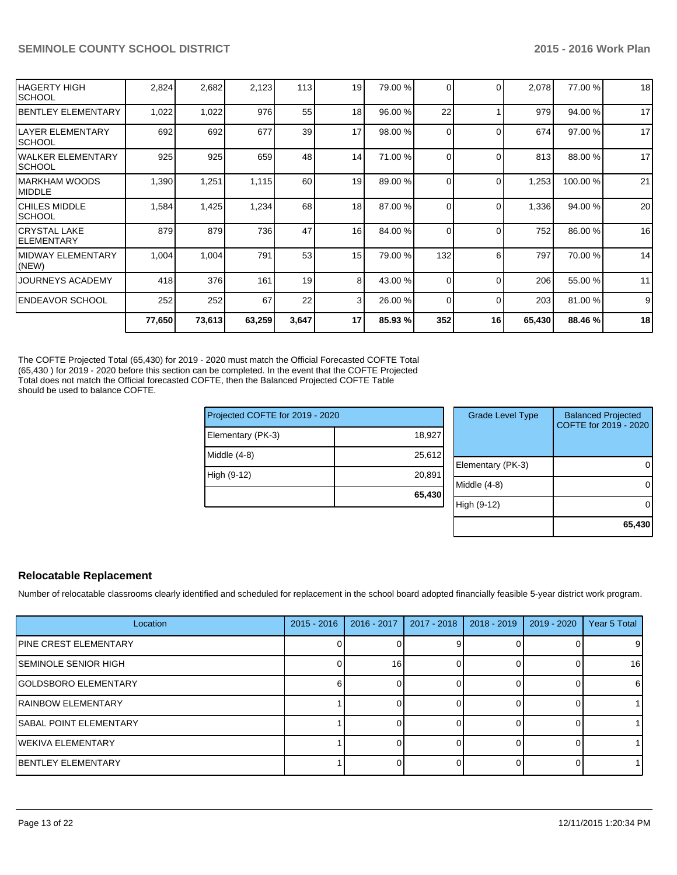| 18<br>2,824<br>2,123<br>113<br>79.00 %<br>77.00 %<br>2,682<br>19<br>2,078<br>$\Omega$<br>976<br>55<br>22<br>17<br>1,022<br>18 <sup>1</sup><br>979<br>1,022<br>96.00 %<br>94.00 %<br>17<br>677<br>39<br>692<br>17<br>97.00 %<br>692<br>98.00 %<br>674<br>$\Omega$<br>$\Omega$<br>17<br>925<br>925<br>659<br>48<br>71.00 %<br>813<br>88.00 %<br>14<br>$\Omega$<br>21<br>60<br>19<br>1,390<br>1,251<br>1,115<br>89.00 %<br>1,253<br>100.00%<br>$\Omega$<br>$\Omega$<br>68<br>20<br>1,584<br>1,425<br>1,234<br>18 <sup>1</sup><br>87.00 %<br>1,336<br>94.00 %<br>$\Omega$<br>$\Omega$<br>47<br>16<br>879<br>879<br>736<br>16<br>84.00 %<br>752<br>86.00 %<br>$\Omega$<br><sup>n</sup><br>53<br>14<br>1,004<br>1,004<br>791<br>15<br>132<br>797<br>79.00 %<br>70.00 %<br>6<br>11<br>376<br>19<br>418<br>161<br>8<br>206<br>IJOURNEYS ACADEMY<br>43.00 %<br>55.00 %<br>$\Omega$<br>∩<br>67<br>252<br>252<br>22<br>9<br>$\mathbf{3}$<br>203<br>26.00 %<br>81.00 %<br>$\Omega$<br>$\Omega$<br>18<br>17<br>73,613<br>63,259<br>3,647<br>85.93 %<br>352<br>16<br>88.46 %<br>77,650<br>65,430 |                                       |  |  |  |  |  |  |
|------------------------------------------------------------------------------------------------------------------------------------------------------------------------------------------------------------------------------------------------------------------------------------------------------------------------------------------------------------------------------------------------------------------------------------------------------------------------------------------------------------------------------------------------------------------------------------------------------------------------------------------------------------------------------------------------------------------------------------------------------------------------------------------------------------------------------------------------------------------------------------------------------------------------------------------------------------------------------------------------------------------------------------------------------------------------------------|---------------------------------------|--|--|--|--|--|--|
|                                                                                                                                                                                                                                                                                                                                                                                                                                                                                                                                                                                                                                                                                                                                                                                                                                                                                                                                                                                                                                                                                    | HAGERTY HIGH<br>ISCHOOL               |  |  |  |  |  |  |
|                                                                                                                                                                                                                                                                                                                                                                                                                                                                                                                                                                                                                                                                                                                                                                                                                                                                                                                                                                                                                                                                                    | <b>BENTLEY ELEMENTARY</b>             |  |  |  |  |  |  |
|                                                                                                                                                                                                                                                                                                                                                                                                                                                                                                                                                                                                                                                                                                                                                                                                                                                                                                                                                                                                                                                                                    | llayer elementary<br>ISCHOOL          |  |  |  |  |  |  |
|                                                                                                                                                                                                                                                                                                                                                                                                                                                                                                                                                                                                                                                                                                                                                                                                                                                                                                                                                                                                                                                                                    | <b>I</b> WALKER ELEMENTARY<br>ISCHOOL |  |  |  |  |  |  |
|                                                                                                                                                                                                                                                                                                                                                                                                                                                                                                                                                                                                                                                                                                                                                                                                                                                                                                                                                                                                                                                                                    | IMARKHAM WOODS<br><b>IMIDDLE</b>      |  |  |  |  |  |  |
|                                                                                                                                                                                                                                                                                                                                                                                                                                                                                                                                                                                                                                                                                                                                                                                                                                                                                                                                                                                                                                                                                    | ICHILES MIDDLE<br>ISCHOOL             |  |  |  |  |  |  |
|                                                                                                                                                                                                                                                                                                                                                                                                                                                                                                                                                                                                                                                                                                                                                                                                                                                                                                                                                                                                                                                                                    | ICRYSTAL LAKE<br>IELEMENTARY          |  |  |  |  |  |  |
|                                                                                                                                                                                                                                                                                                                                                                                                                                                                                                                                                                                                                                                                                                                                                                                                                                                                                                                                                                                                                                                                                    | IMIDWAY ELEMENTARY<br>(NEW)           |  |  |  |  |  |  |
|                                                                                                                                                                                                                                                                                                                                                                                                                                                                                                                                                                                                                                                                                                                                                                                                                                                                                                                                                                                                                                                                                    |                                       |  |  |  |  |  |  |
|                                                                                                                                                                                                                                                                                                                                                                                                                                                                                                                                                                                                                                                                                                                                                                                                                                                                                                                                                                                                                                                                                    | IENDEAVOR SCHOOL                      |  |  |  |  |  |  |
|                                                                                                                                                                                                                                                                                                                                                                                                                                                                                                                                                                                                                                                                                                                                                                                                                                                                                                                                                                                                                                                                                    |                                       |  |  |  |  |  |  |

The COFTE Projected Total (65,430) for 2019 - 2020 must match the Official Forecasted COFTE Total (65,430 ) for 2019 - 2020 before this section can be completed. In the event that the COFTE Projected Total does not match the Official forecasted COFTE, then the Balanced Projected COFTE Table should be used to balance COFTE.

| Projected COFTE for 2019 - 2020 |        | <b>Grade Level Type</b> | <b>Balanced Projected</b><br>COFTE for 2019 - 2020 |  |
|---------------------------------|--------|-------------------------|----------------------------------------------------|--|
| Elementary (PK-3)               | 18,927 |                         |                                                    |  |
| Middle $(4-8)$                  | 25,612 |                         |                                                    |  |
|                                 |        | Elementary (PK-3)       | $\Omega$                                           |  |
| High (9-12)                     | 20,891 |                         |                                                    |  |
|                                 |        | Middle (4-8)            | $\Omega$                                           |  |
|                                 | 65,430 |                         |                                                    |  |
|                                 |        | High (9-12)             | $\Omega$                                           |  |
|                                 |        |                         | 65,430                                             |  |

#### **Relocatable Replacement**

Number of relocatable classrooms clearly identified and scheduled for replacement in the school board adopted financially feasible 5-year district work program.

| Location                      | $2015 - 2016$ | 2016 - 2017 | 2017 - 2018 | 2018 - 2019 | 2019 - 2020 | Year 5 Total |
|-------------------------------|---------------|-------------|-------------|-------------|-------------|--------------|
| <b>IPINE CREST ELEMENTARY</b> |               |             |             |             |             | 9            |
| ISEMINOLE SENIOR HIGH         |               | 16          |             |             |             | 16           |
| lGOLDSBORO ELEMENTARY         |               |             |             |             |             | 61           |
| <b>IRAINBOW ELEMENTARY</b>    |               |             |             |             |             |              |
| ISABAL POINT ELEMENTARY       |               |             |             |             |             |              |
| IWEKIVA ELEMENTARY            |               |             |             |             |             |              |
| <b>IBENTLEY ELEMENTARY</b>    |               |             |             |             |             |              |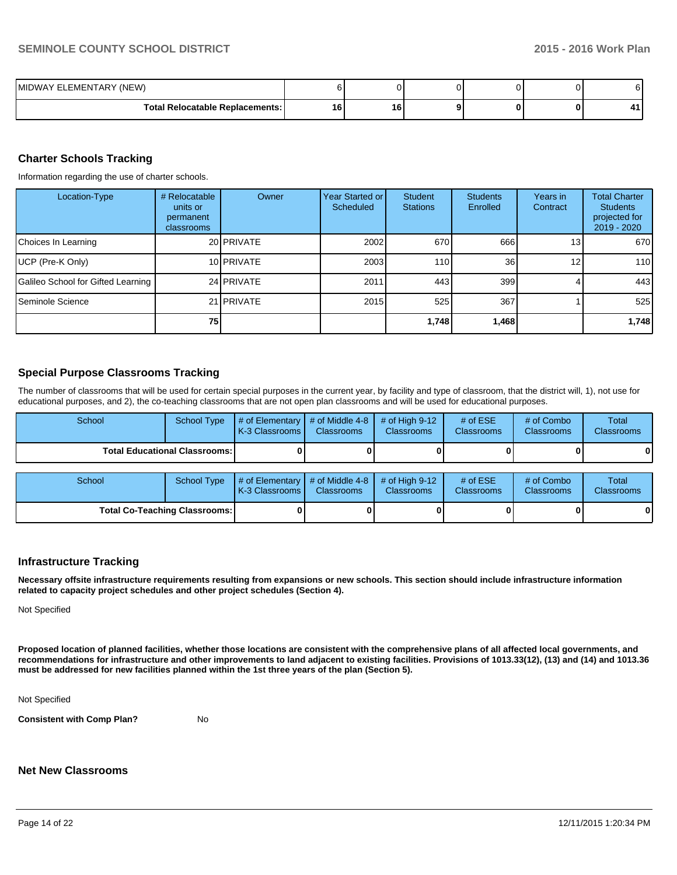| <b>IMIDWAY ELEMENTARY (NEW)</b>        |    |   |  |  |
|----------------------------------------|----|---|--|--|
| <b>Total Relocatable Replacements:</b> | 16 | o |  |  |

## **Charter Schools Tracking**

Information regarding the use of charter schools.

| Location-Type                      | # Relocatable<br>units or<br>permanent<br>classrooms | Owner      | <b>Year Started or</b><br>Scheduled | Student<br><b>Stations</b> | <b>Students</b><br>Enrolled | Years in<br>Contract | <b>Total Charter</b><br><b>Students</b><br>projected for<br>$2019 - 2020$ |
|------------------------------------|------------------------------------------------------|------------|-------------------------------------|----------------------------|-----------------------------|----------------------|---------------------------------------------------------------------------|
| Choices In Learning                |                                                      | 20 PRIVATE | 2002                                | 670                        | 666                         | 13 <sub>l</sub>      | 670                                                                       |
| UCP (Pre-K Only)                   |                                                      | 10 PRIVATE | 2003                                | 110                        | 36 <sup>l</sup>             | 12 <sub>l</sub>      | 110                                                                       |
| Galileo School for Gifted Learning |                                                      | 24 PRIVATE | 2011                                | 443                        | 399                         |                      | 443                                                                       |
| Seminole Science                   |                                                      | 21 PRIVATE | 2015                                | 525                        | 367                         |                      | 525                                                                       |
|                                    | 75                                                   |            |                                     | 1.748                      | 1,468                       |                      | 1.748                                                                     |

## **Special Purpose Classrooms Tracking**

The number of classrooms that will be used for certain special purposes in the current year, by facility and type of classroom, that the district will, 1), not use for educational purposes, and 2), the co-teaching classrooms that are not open plan classrooms and will be used for educational purposes.

| School                                 | <b>School Type</b>                   | # of Elementary<br>K-3 Classrooms I | # of Middle 4-8<br><b>Classrooms</b> | # of High $9-12$<br><b>Classrooms</b> | # of $ESE$<br><b>Classrooms</b> | # of Combo<br>Classrooms | Total<br>Classrooms        |
|----------------------------------------|--------------------------------------|-------------------------------------|--------------------------------------|---------------------------------------|---------------------------------|--------------------------|----------------------------|
| <b>Total Educational Classrooms: I</b> |                                      |                                     |                                      |                                       |                                 |                          |                            |
| School                                 | <b>School Type</b>                   | # of Elementary<br>K-3 Classrooms I | # of Middle 4-8<br><b>Classrooms</b> | # of High $9-12$<br>Classrooms        | # of $ESE$<br><b>Classrooms</b> | # of Combo<br>Classrooms | <b>Total</b><br>Classrooms |
|                                        | <b>Total Co-Teaching Classrooms:</b> |                                     |                                      |                                       |                                 |                          | 01                         |

#### **Infrastructure Tracking**

**Necessary offsite infrastructure requirements resulting from expansions or new schools. This section should include infrastructure information related to capacity project schedules and other project schedules (Section 4).**

Not Specified

**Proposed location of planned facilities, whether those locations are consistent with the comprehensive plans of all affected local governments, and recommendations for infrastructure and other improvements to land adjacent to existing facilities. Provisions of 1013.33(12), (13) and (14) and 1013.36 must be addressed for new facilities planned within the 1st three years of the plan (Section 5).**

Not Specified

**Consistent with Comp Plan?** No

#### **Net New Classrooms**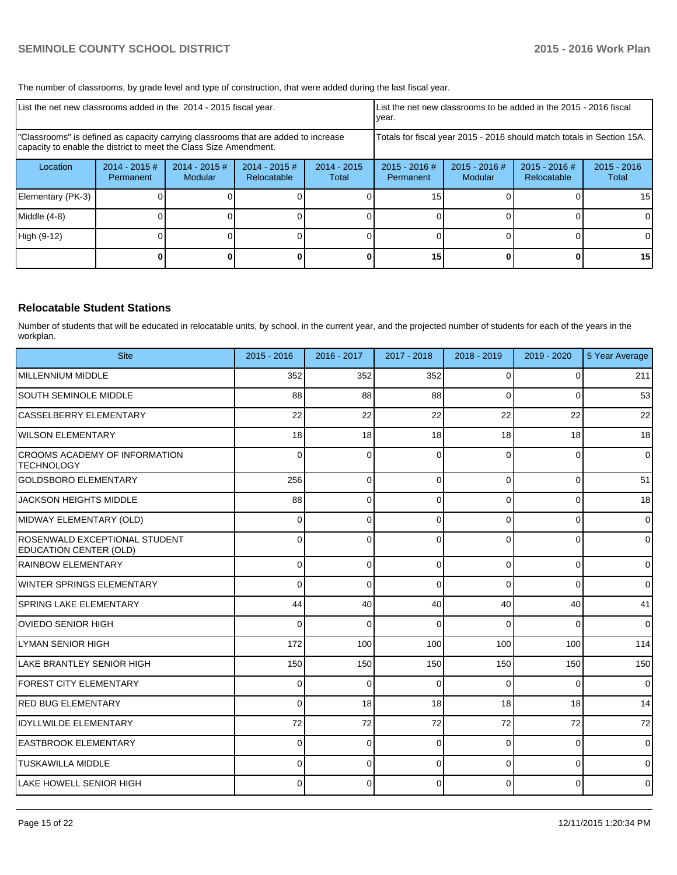The number of classrooms, by grade level and type of construction, that were added during the last fiscal year.

| List the net new classrooms added in the 2014 - 2015 fiscal year.                                                                                       |                               |                            |                                                                        |                        | List the net new classrooms to be added in the 2015 - 2016 fiscal<br>Ivear. |                          |                              |                        |
|---------------------------------------------------------------------------------------------------------------------------------------------------------|-------------------------------|----------------------------|------------------------------------------------------------------------|------------------------|-----------------------------------------------------------------------------|--------------------------|------------------------------|------------------------|
| "Classrooms" is defined as capacity carrying classrooms that are added to increase<br>capacity to enable the district to meet the Class Size Amendment. |                               |                            | Totals for fiscal year 2015 - 2016 should match totals in Section 15A. |                        |                                                                             |                          |                              |                        |
| Location                                                                                                                                                | $2014 - 2015 \#$<br>Permanent | $2014 - 2015$ #<br>Modular | $2014 - 2015 \#$<br>Relocatable                                        | $2014 - 2015$<br>Total | $2015 - 2016$ #<br>Permanent                                                | 2015 - 2016 #<br>Modular | 2015 - 2016 #<br>Relocatable | $2015 - 2016$<br>Total |
| Elementary (PK-3)                                                                                                                                       |                               |                            |                                                                        |                        | 15                                                                          |                          |                              | 15                     |
| Middle (4-8)                                                                                                                                            |                               |                            |                                                                        |                        |                                                                             |                          |                              | $\Omega$               |
| High (9-12)                                                                                                                                             |                               |                            |                                                                        |                        |                                                                             |                          |                              | $\Omega$               |
|                                                                                                                                                         |                               |                            |                                                                        |                        | 15                                                                          |                          |                              | 15 <sub>l</sub>        |

#### **Relocatable Student Stations**

Number of students that will be educated in relocatable units, by school, in the current year, and the projected number of students for each of the years in the workplan.

| <b>Site</b>                                                    | $2015 - 2016$ | 2016 - 2017 | 2017 - 2018 | 2018 - 2019 | 2019 - 2020    | 5 Year Average |
|----------------------------------------------------------------|---------------|-------------|-------------|-------------|----------------|----------------|
| MILLENNIUM MIDDLE                                              | 352           | 352         | 352         | $\Omega$    | 0              | 211            |
| <b>SOUTH SEMINOLE MIDDLE</b>                                   | 88            | 88          | 88          | $\Omega$    | $\Omega$       | 53             |
| CASSELBERRY ELEMENTARY                                         | 22            | 22          | 22          | 22          | 22             | 22             |
| <b>WILSON ELEMENTARY</b>                                       | 18            | 18          | 18          | 18          | 18             | 18             |
| ICROOMS ACADEMY OF INFORMATION<br><b>I</b> TECHNOLOGY          | $\Omega$      | 0           | 0           | $\Omega$    | 0              | 0              |
| <b>GOLDSBORO ELEMENTARY</b>                                    | 256           | 0           | 0           | $\Omega$    | $\overline{0}$ | 51             |
| IJACKSON HEIGHTS MIDDLE                                        | 88            | 0           | 0           | $\Omega$    | 0              | 18             |
| MIDWAY ELEMENTARY (OLD)                                        | $\Omega$      | $\Omega$    | 0           | $\Omega$    | $\Omega$       | 0              |
| ROSENWALD EXCEPTIONAL STUDENT<br><b>EDUCATION CENTER (OLD)</b> | $\Omega$      | 0           | 0           | $\Omega$    | $\Omega$       | $\overline{0}$ |
| RAINBOW ELEMENTARY                                             | $\Omega$      | $\Omega$    | 0           | $\Omega$    | $\overline{0}$ | 0              |
| WINTER SPRINGS ELEMENTARY                                      | $\Omega$      | $\Omega$    | 0           | $\Omega$    | 0              | $\overline{0}$ |
| <b>SPRING LAKE ELEMENTARY</b>                                  | 44            | 40          | 40          | 40          | 40             | 41             |
| IOVIEDO SENIOR HIGH                                            | $\Omega$      | $\Omega$    | 0           | $\Omega$    | 0              | 0              |
| ILYMAN SENIOR HIGH                                             | 172           | 100         | 100         | 100         | 100            | 114            |
| LAKE BRANTLEY SENIOR HIGH                                      | 150           | 150         | 150         | 150         | 150            | 150            |
| FOREST CITY ELEMENTARY                                         | $\Omega$      | $\Omega$    | $\Omega$    | $\Omega$    | 0              | $\mathbf 0$    |
| <b>RED BUG ELEMENTARY</b>                                      | $\Omega$      | 18          | 18          | 18          | 18             | 14             |
| <b>IDYLLWILDE ELEMENTARY</b>                                   | 72            | 72          | 72          | 72          | 72             | 72             |
| <b>IEASTBROOK ELEMENTARY</b>                                   | $\Omega$      | $\Omega$    | 0           | $\Omega$    | $\Omega$       | 0              |
| <b>ITUSKAWILLA MIDDLE</b>                                      | $\Omega$      | 0           | 0           | $\Omega$    | 0              | 0              |
| LAKE HOWELL SENIOR HIGH                                        | U             | 0           | 0           | $\Omega$    | $\Omega$       | 0              |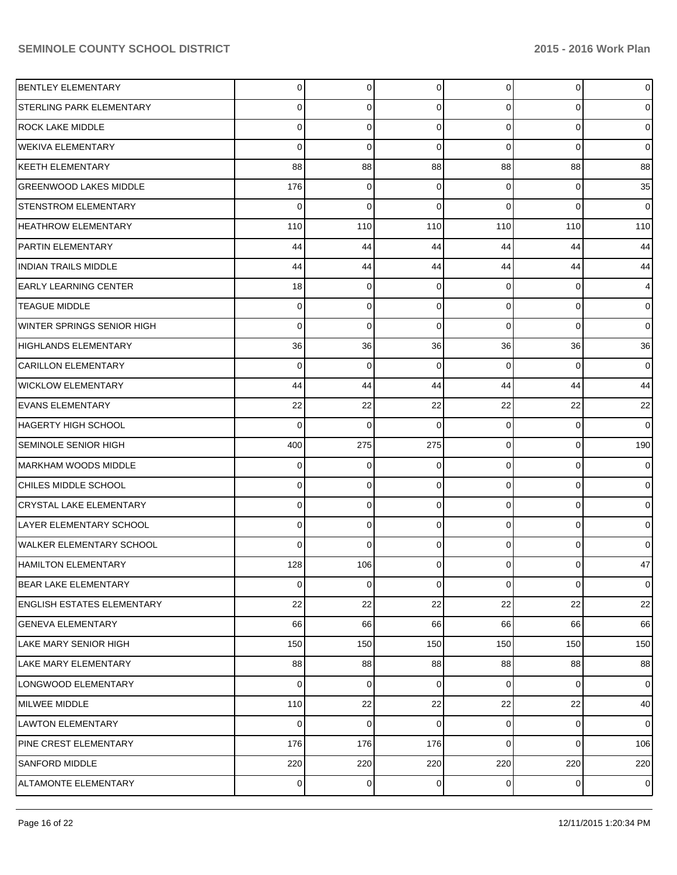| <b>BENTLEY ELEMENTARY</b>         | $\Omega$       | 0           | 0           | $\overline{0}$ | $\overline{0}$ | $\overline{0}$ |
|-----------------------------------|----------------|-------------|-------------|----------------|----------------|----------------|
| <b>STERLING PARK ELEMENTARY</b>   | 0              | 0           | 0           | $\Omega$       | 0              | $\overline{0}$ |
| <b>ROCK LAKE MIDDLE</b>           | 0              | 0           | 0           | $\Omega$       | $\overline{0}$ | $\overline{0}$ |
| <b>WEKIVA ELEMENTARY</b>          | 0              | $\mathbf 0$ | 0           | $\Omega$       | $\mathbf 0$    | $\overline{0}$ |
| KEETH ELEMENTARY                  | 88             | 88          | 88          | 88             | 88             | 88             |
| <b>GREENWOOD LAKES MIDDLE</b>     | 176            | 0           | 0           | $\overline{0}$ | 0              | 35             |
| <b>STENSTROM ELEMENTARY</b>       | 0              | $\mathbf 0$ | 0           | $\Omega$       | $\mathbf 0$    | $\overline{0}$ |
| <b>HEATHROW ELEMENTARY</b>        | 110            | 110         | 110         | 110            | 110            | 110            |
| <b>PARTIN ELEMENTARY</b>          | 44             | 44          | 44          | 44             | 44             | 44             |
| <b>INDIAN TRAILS MIDDLE</b>       | 44             | 44          | 44          | 44             | 44             | 44             |
| <b>EARLY LEARNING CENTER</b>      | 18             | 0           | 0           | $\Omega$       | 0              | 4              |
| <b>TEAGUE MIDDLE</b>              | 0              | $\mathbf 0$ | 0           | $\overline{0}$ | $\overline{0}$ | $\overline{0}$ |
| WINTER SPRINGS SENIOR HIGH        | 0              | $\mathbf 0$ | $\Omega$    | $\Omega$       | $\Omega$       | $\overline{0}$ |
| <b>HIGHLANDS ELEMENTARY</b>       | 36             | 36          | 36          | 36             | 36             | 36             |
| <b>CARILLON ELEMENTARY</b>        | 0              | 0           | 0           | $\Omega$       | $\Omega$       | $\overline{0}$ |
| <b>WICKLOW ELEMENTARY</b>         | 44             | 44          | 44          | 44             | 44             | 44             |
| <b>EVANS ELEMENTARY</b>           | 22             | 22          | 22          | 22             | 22             | 22             |
| <b>HAGERTY HIGH SCHOOL</b>        | 0              | 0           | 0           | 0              | 0              | $\overline{0}$ |
| <b>SEMINOLE SENIOR HIGH</b>       | 400            | 275         | 275         | $\overline{0}$ | $\overline{0}$ | 190            |
| <b>MARKHAM WOODS MIDDLE</b>       | 0              | 0           | 0           | $\Omega$       | $\overline{0}$ | $\overline{0}$ |
| CHILES MIDDLE SCHOOL              | 0              | 0           | 0           | $\Omega$       | $\mathbf 0$    | $\overline{0}$ |
| <b>CRYSTAL LAKE ELEMENTARY</b>    | 0              | $\mathbf 0$ | 0           | $\Omega$       | $\overline{0}$ | $\overline{0}$ |
| LAYER ELEMENTARY SCHOOL           | 0              | $\mathbf 0$ | 0           | $\Omega$       | $\mathbf 0$    | $\overline{0}$ |
| <b>WALKER ELEMENTARY SCHOOL</b>   | 0              | $\mathbf 0$ | 0           | $\Omega$       | $\mathbf 0$    | $\overline{0}$ |
| <b>HAMILTON ELEMENTARY</b>        | 128            | 106         | 0           | $\Omega$       | 0              | 47             |
| <b>BEAR LAKE ELEMENTARY</b>       | $\overline{0}$ | $\mathbf 0$ | 0           | $\overline{0}$ | $\mathbf 0$    | $\overline{0}$ |
| <b>ENGLISH ESTATES ELEMENTARY</b> | 22             | 22          | 22          | 22             | 22             | 22             |
| <b>GENEVA ELEMENTARY</b>          | 66             | 66          | 66          | 66             | 66             | 66             |
| <b>LAKE MARY SENIOR HIGH</b>      | 150            | 150         | 150         | 150            | 150            | 150            |
| <b>LAKE MARY ELEMENTARY</b>       | 88             | 88          | 88          | 88             | 88             | 88             |
| LONGWOOD ELEMENTARY               | $\Omega$       | 0           | 0           | $\overline{0}$ | $\mathbf{0}$   | $\overline{0}$ |
| <b>MILWEE MIDDLE</b>              | 110            | 22          | 22          | 22             | 22             | 40             |
| <b>LAWTON ELEMENTARY</b>          | $\Omega$       | $\mathbf 0$ | $\mathbf 0$ | $\overline{0}$ | $\mathbf{0}$   | $\overline{0}$ |
| PINE CREST ELEMENTARY             | 176            | 176         | 176         | $\overline{0}$ | 0              | 106            |
| SANFORD MIDDLE                    | 220            | 220         | 220         | 220            | 220            | 220            |
| ALTAMONTE ELEMENTARY              | 0              | 0           | 0           | $\overline{0}$ | $\mathbf 0$    | $\overline{0}$ |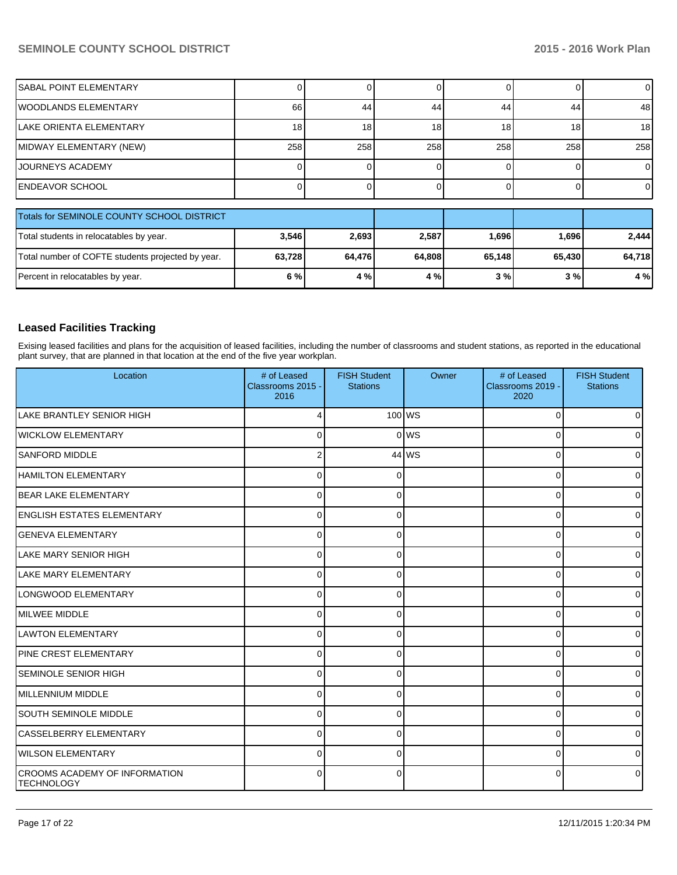| <b>ISABAL POINT ELEMENTARY</b>                    |        |        |        |        |        |        |
|---------------------------------------------------|--------|--------|--------|--------|--------|--------|
| <b>IWOODLANDS ELEMENTARY</b>                      | 66     | 44     | 44     | 44     | 44     | 48     |
| ILAKE ORIENTA ELEMENTARY                          | 18     | 18     | 18     | 18     | 18     | 18     |
| MIDWAY ELEMENTARY (NEW)                           | 258    | 258    | 258    | 258    | 258    | 258    |
| <b>IJOURNEYS ACADEMY</b>                          |        |        |        |        |        | 0      |
| <b>IENDEAVOR SCHOOL</b>                           |        |        |        |        |        |        |
| Totals for SEMINOLE COUNTY SCHOOL DISTRICT        |        |        |        |        |        |        |
| Total students in relocatables by year.           | 3,546  | 2,693  | 2,587  | 1,696  | 1,696  | 2,444  |
| Total number of COFTE students projected by year. | 63,728 | 64,476 | 64,808 | 65,148 | 65,430 | 64,718 |
| Percent in relocatables by year.                  | 6%     | 4 %    | 4 %    | 3%     | 3%     | 4 %    |

# **Leased Facilities Tracking**

Exising leased facilities and plans for the acquisition of leased facilities, including the number of classrooms and student stations, as reported in the educational plant survey, that are planned in that location at the end of the five year workplan.

| Location                                                  | # of Leased<br>Classrooms 2015 -<br>2016 | <b>FISH Student</b><br><b>Stations</b> | Owner   | # of Leased<br>Classrooms 2019 -<br>2020 | <b>FISH Student</b><br><b>Stations</b> |
|-----------------------------------------------------------|------------------------------------------|----------------------------------------|---------|------------------------------------------|----------------------------------------|
| <b>LAKE BRANTLEY SENIOR HIGH</b>                          |                                          | $100$ WS                               |         | $\Omega$                                 | n                                      |
| <b>WICKLOW ELEMENTARY</b>                                 | $\Omega$                                 |                                        | 0 WS    | $\Omega$                                 | 0                                      |
| <b>SANFORD MIDDLE</b>                                     |                                          |                                        | $44$ MS | $\Omega$                                 | 0                                      |
| <b>HAMILTON ELEMENTARY</b>                                | $\Omega$                                 | 0                                      |         | $\Omega$                                 | 0                                      |
| <b>BEAR LAKE ELEMENTARY</b>                               | 0                                        | 0                                      |         | 0                                        | 0                                      |
| <b>ENGLISH ESTATES ELEMENTARY</b>                         | 0                                        | $\Omega$                               |         | $\Omega$                                 | $\Omega$                               |
| <b>GENEVA ELEMENTARY</b>                                  | 0                                        | $\Omega$                               |         | $\Omega$                                 | 0                                      |
| <b>LAKE MARY SENIOR HIGH</b>                              | $\Omega$                                 | $\Omega$                               |         | $\Omega$                                 | $\Omega$                               |
| <b>LAKE MARY ELEMENTARY</b>                               | $\Omega$                                 | 0                                      |         | $\Omega$                                 | 0                                      |
| LONGWOOD ELEMENTARY                                       | $\Omega$                                 | 0                                      |         | 0                                        | 0                                      |
| <b>MILWEE MIDDLE</b>                                      | 0                                        | 0                                      |         | $\Omega$                                 | 0                                      |
| <b>LAWTON ELEMENTARY</b>                                  | $\Omega$                                 | 0                                      |         | 0                                        | $\Omega$                               |
| PINE CREST ELEMENTARY                                     | $\Omega$                                 | 0                                      |         | $\Omega$                                 | <sup>0</sup>                           |
| <b>SEMINOLE SENIOR HIGH</b>                               | 0                                        | 0                                      |         | 0                                        | 0                                      |
| MILLENNIUM MIDDLE                                         | 0                                        | ∩                                      |         | 0                                        | 0                                      |
| <b>SOUTH SEMINOLE MIDDLE</b>                              | $\Omega$                                 | $\Omega$                               |         | 0                                        | $\Omega$                               |
| <b>CASSELBERRY ELEMENTARY</b>                             | $\Omega$                                 | 0                                      |         | $\Omega$                                 | $\Omega$                               |
| WILSON ELEMENTARY                                         | $\Omega$                                 | 0                                      |         | $\Omega$                                 | $\Omega$                               |
| <b>CROOMS ACADEMY OF INFORMATION</b><br><b>TECHNOLOGY</b> | $\Omega$                                 | O                                      |         | 0                                        | 0                                      |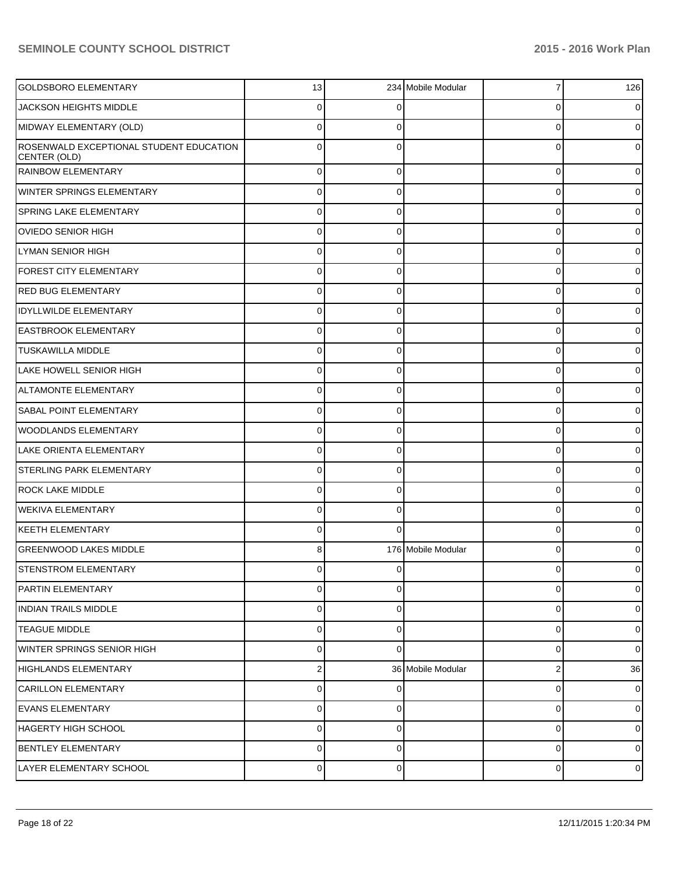| <b>GOLDSBORO ELEMENTARY</b>                             | 13             |             | 234 Mobile Modular | 7              | 126            |
|---------------------------------------------------------|----------------|-------------|--------------------|----------------|----------------|
| <b>JACKSON HEIGHTS MIDDLE</b>                           | 0              |             |                    | 0              | 0              |
| MIDWAY ELEMENTARY (OLD)                                 | 0              |             |                    | $\Omega$       | 0              |
| ROSENWALD EXCEPTIONAL STUDENT EDUCATION<br>CENTER (OLD) | 0              |             |                    | 0              | 0              |
| RAINBOW ELEMENTARY                                      | 0              | 0           |                    | 0              | 0              |
| WINTER SPRINGS ELEMENTARY                               | 0              | $\Omega$    |                    | 0              | 01             |
| SPRING LAKE ELEMENTARY                                  | 0              | 0           |                    | 0              | 0              |
| <b>OVIEDO SENIOR HIGH</b>                               | 0              | $\Omega$    |                    | 0              | 0              |
| LYMAN SENIOR HIGH                                       | 0              | 0           |                    | 0              | 0              |
| FOREST CITY ELEMENTARY                                  | 0              | $\Omega$    |                    | 0              | 0              |
| <b>RED BUG ELEMENTARY</b>                               | 0              | 0           |                    | 0              | 0              |
| <b>IDYLLWILDE ELEMENTARY</b>                            | 0              | 0           |                    | 0              | 0              |
| <b>EASTBROOK ELEMENTARY</b>                             | 0              | 0           |                    | 0              | 0              |
| <b>TUSKAWILLA MIDDLE</b>                                | 0              | $\Omega$    |                    | 0              | 0              |
| <b>LAKE HOWELL SENIOR HIGH</b>                          | 0              | 0           |                    | 0              | 0              |
| ALTAMONTE ELEMENTARY                                    | 0              | 0           |                    | 0              | 0              |
| SABAL POINT ELEMENTARY                                  | 0              | 0           |                    | 0              | 0              |
| <b>WOODLANDS ELEMENTARY</b>                             | 0              | 0           |                    | $\Omega$       | 0              |
| <b>LAKE ORIENTA ELEMENTARY</b>                          | 0              | 0           |                    | 0              | 0              |
| <b>STERLING PARK ELEMENTARY</b>                         | 0              | 0           |                    | $\Omega$       | 0              |
| <b>ROCK LAKE MIDDLE</b>                                 | 0              | 0           |                    | 0              | 0              |
| <b>WEKIVA ELEMENTARY</b>                                | 0              | 0           |                    | 0              | 0              |
| <b>KEETH ELEMENTARY</b>                                 | 0              |             |                    | 0              | 0              |
| <b>GREENWOOD LAKES MIDDLE</b>                           | 8              |             | 176 Mobile Modular | 0              |                |
| <b>STENSTROM ELEMENTARY</b>                             | 0              | $\Omega$    |                    | 0              | 01             |
| PARTIN ELEMENTARY                                       | 0              | $\Omega$    |                    | 0              | $\overline{0}$ |
| <b>INDIAN TRAILS MIDDLE</b>                             | 0              | $\mathbf 0$ |                    | 0              | $\overline{0}$ |
| <b>TEAGUE MIDDLE</b>                                    | 0              | $\mathbf 0$ |                    | 0              | $\overline{0}$ |
| WINTER SPRINGS SENIOR HIGH                              | 0              | $\Omega$    |                    | 0              | $\overline{0}$ |
| HIGHLANDS ELEMENTARY                                    | $\overline{2}$ |             | 36 Mobile Modular  | $\overline{2}$ | 36             |
| <b>CARILLON ELEMENTARY</b>                              | 0              | $\Omega$    |                    | 0              | $\overline{0}$ |
| EVANS ELEMENTARY                                        | 0              | $\mathbf 0$ |                    | 0              | $\overline{0}$ |
| HAGERTY HIGH SCHOOL                                     | 0              | 0           |                    | 0              | $\overline{0}$ |
| <b>BENTLEY ELEMENTARY</b>                               | 0              | $\Omega$    |                    | 0              | $\overline{0}$ |
| LAYER ELEMENTARY SCHOOL                                 | 0              | $\mathbf 0$ |                    | 0              | $\circ$        |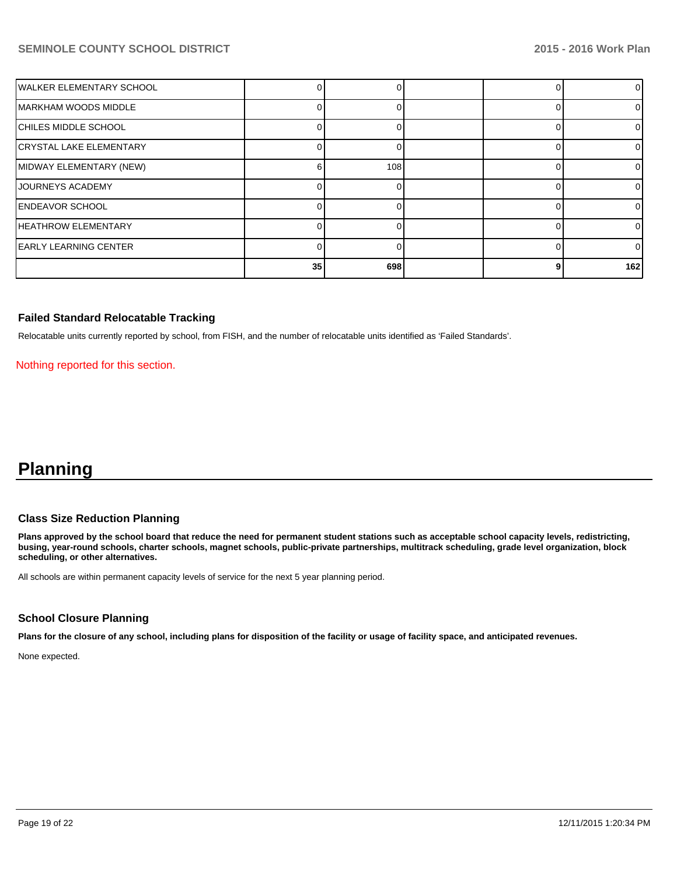| IWALKER ELEMENTARY SCHOOL |    |     |  |          |
|---------------------------|----|-----|--|----------|
| IMARKHAM WOODS MIDDLE     |    |     |  | 0        |
| CHILES MIDDLE SCHOOL      |    |     |  | 0        |
| CRYSTAL LAKE ELEMENTARY   |    |     |  | 01       |
| MIDWAY ELEMENTARY (NEW)   |    | 108 |  | 0        |
| <b>IJOURNEYS ACADEMY</b>  |    |     |  | 0        |
| <b>ENDEAVOR SCHOOL</b>    |    |     |  | $\Omega$ |
| HEATHROW ELEMENTARY       |    |     |  | 0        |
| EARLY LEARNING CENTER     |    |     |  | 0        |
|                           | 35 | 698 |  | 162      |

# **Failed Standard Relocatable Tracking**

Relocatable units currently reported by school, from FISH, and the number of relocatable units identified as 'Failed Standards'.

Nothing reported for this section.

# **Planning**

#### **Class Size Reduction Planning**

**Plans approved by the school board that reduce the need for permanent student stations such as acceptable school capacity levels, redistricting, busing, year-round schools, charter schools, magnet schools, public-private partnerships, multitrack scheduling, grade level organization, block scheduling, or other alternatives.**

All schools are within permanent capacity levels of service for the next 5 year planning period.

## **School Closure Planning**

**Plans for the closure of any school, including plans for disposition of the facility or usage of facility space, and anticipated revenues.**

None expected.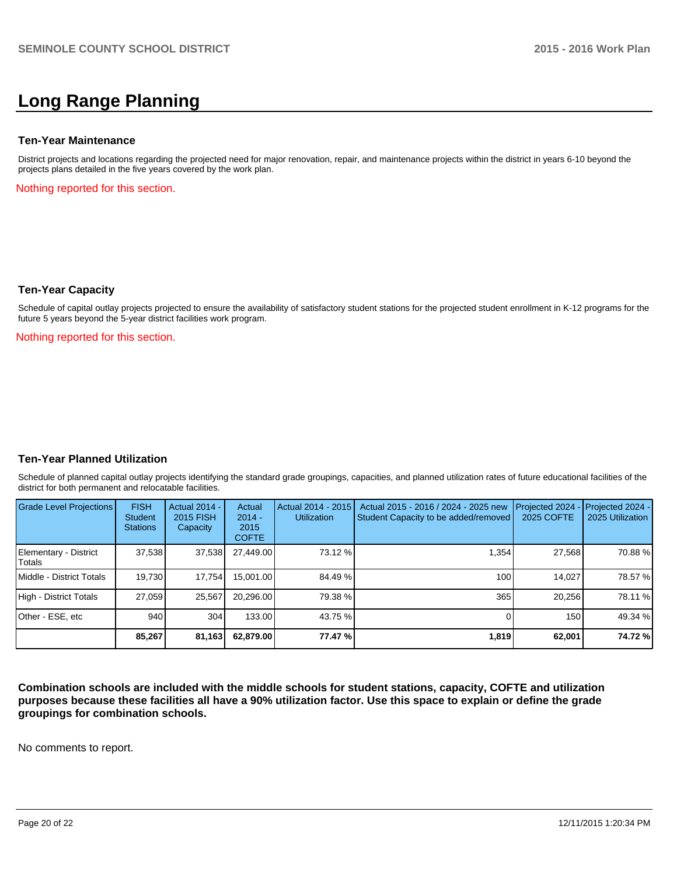# **Long Range Planning**

#### **Ten-Year Maintenance**

District projects and locations regarding the projected need for major renovation, repair, and maintenance projects within the district in years 6-10 beyond the projects plans detailed in the five years covered by the work plan.

Nothing reported for this section.

#### **Ten-Year Capacity**

Schedule of capital outlay projects projected to ensure the availability of satisfactory student stations for the projected student enrollment in K-12 programs for the future 5 years beyond the 5-year district facilities work program.

Nothing reported for this section.

#### **Ten-Year Planned Utilization**

Schedule of planned capital outlay projects identifying the standard grade groupings, capacities, and planned utilization rates of future educational facilities of the district for both permanent and relocatable facilities.

| <b>Grade Level Projections</b>  | <b>FISH</b><br>Student<br><b>Stations</b> | Actual 2014 -<br>2015 FISH<br>Capacity | Actual<br>$2014 -$<br>2015<br><b>COFTE</b> | Actual 2014 - 2015<br><b>Utilization</b> | Actual 2015 - 2016 / 2024 - 2025 new<br>Student Capacity to be added/removed | Projected 2024<br>2025 COFTE | $-$ Projected 2024 -<br>2025 Utilization |
|---------------------------------|-------------------------------------------|----------------------------------------|--------------------------------------------|------------------------------------------|------------------------------------------------------------------------------|------------------------------|------------------------------------------|
| Elementary - District<br>Totals | 37.538                                    | 37,538                                 | 27.449.00                                  | 73.12 %                                  | 1.354                                                                        | 27.568                       | 70.88%                                   |
| Middle - District Totals        | 19.730                                    | 17,754                                 | 15.001.00                                  | 84.49 %                                  | 100 <sub>l</sub>                                                             | 14.027                       | 78.57 %                                  |
| High - District Totals          | 27.059                                    | 25.567                                 | 20.296.00                                  | 79.38 %                                  | 365                                                                          | 20.256                       | 78.11 %                                  |
| Other - ESE, etc                | 940                                       | 304                                    | 133.00                                     | 43.75 %                                  |                                                                              | 150                          | 49.34 %                                  |
|                                 | 85,267                                    | 81,163                                 | 62,879.00                                  | 77.47 %l                                 | 1,819                                                                        | 62,001                       | 74.72 %                                  |

**Combination schools are included with the middle schools for student stations, capacity, COFTE and utilization purposes because these facilities all have a 90% utilization factor. Use this space to explain or define the grade groupings for combination schools.**

No comments to report.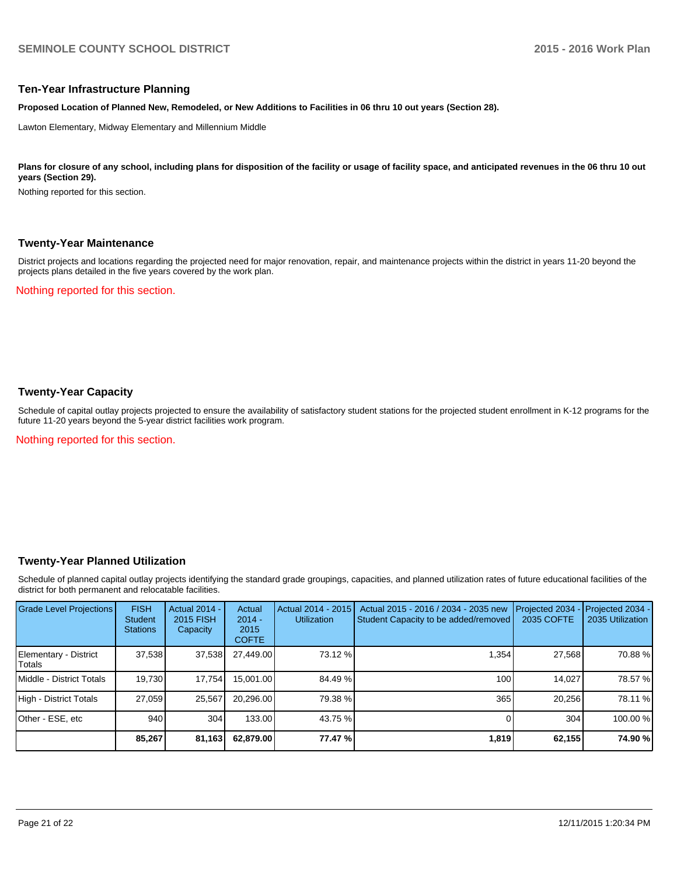#### **Ten-Year Infrastructure Planning**

**Proposed Location of Planned New, Remodeled, or New Additions to Facilities in 06 thru 10 out years (Section 28).**

Lawton Elementary, Midway Elementary and Millennium Middle

Plans for closure of any school, including plans for disposition of the facility or usage of facility space, and anticipated revenues in the 06 thru 10 out **years (Section 29).**

Nothing reported for this section.

#### **Twenty-Year Maintenance**

District projects and locations regarding the projected need for major renovation, repair, and maintenance projects within the district in years 11-20 beyond the projects plans detailed in the five years covered by the work plan.

Nothing reported for this section.

## **Twenty-Year Capacity**

Schedule of capital outlay projects projected to ensure the availability of satisfactory student stations for the projected student enrollment in K-12 programs for the future 11-20 years beyond the 5-year district facilities work program.

Nothing reported for this section.

#### **Twenty-Year Planned Utilization**

Schedule of planned capital outlay projects identifying the standard grade groupings, capacities, and planned utilization rates of future educational facilities of the district for both permanent and relocatable facilities.

| <b>Grade Level Projections</b>   | <b>FISH</b><br><b>Student</b><br><b>Stations</b> | <b>Actual 2014 -</b><br>2015 FISH<br>Capacity | Actual<br>$2014 -$<br>2015<br><b>COFTE</b> | Actual 2014 - 2015<br><b>Utilization</b> | Actual 2015 - 2016 / 2034 - 2035 new<br>Student Capacity to be added/removed | Projected 2034<br>2035 COFTE | Projected 2034 -<br>2035 Utilization |
|----------------------------------|--------------------------------------------------|-----------------------------------------------|--------------------------------------------|------------------------------------------|------------------------------------------------------------------------------|------------------------------|--------------------------------------|
| Elementary - District<br> Totals | 37,538                                           | 37,538                                        | 27,449.00                                  | 73.12 %                                  | 1.354                                                                        | 27,568                       | 70.88%                               |
| Middle - District Totals         | 19.730                                           | 17,754                                        | 15,001.00                                  | 84.49 %                                  | 100                                                                          | 14,027                       | 78.57 %                              |
| High - District Totals           | 27.059                                           | 25.567                                        | 20.296.00                                  | 79.38 %                                  | 365                                                                          | 20.256                       | 78.11 %                              |
| Other - ESE, etc                 | 940                                              | 304                                           | 133.00                                     | 43.75 %                                  |                                                                              | 304                          | 100.00 %                             |
|                                  | 85,267                                           | 81,163                                        | 62,879.00                                  | 77.47 %l                                 | 1,819                                                                        | 62,155                       | 74.90 %                              |